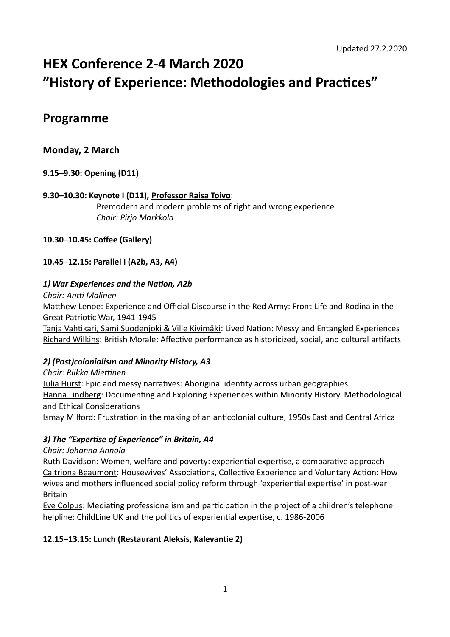# **HEX Conference 2-4 March 2020 "History of Experience: Methodologies and Practices"**

# **Programme**

# **Monday, 2 March**

# **9.15–9.30: Opening (D11)**

# **9.30–10.30: Keynote I (D11), Professor Raisa Toivo**: Premodern and modern problems of right and wrong experience *Chair: Pirjo Markkola*

# **10.30–10.45: Coffee (Gallery)**

# **10.45–12.15: Parallel I (A2b, A3, A4)**

# *1) War Experiences and the Nation, A2b*

*Chair: Antti Malinen* Matthew Lenoe: Experience and Official Discourse in the Red Army: Front Life and Rodina in the Great Patriotic War, 1941-1945

Tanja Vahtikari, Sami Suodenjoki & Ville Kivimäki: Lived Nation: Messy and Entangled Experiences Richard Wilkins: British Morale: Affective performance as historicized, social, and cultural artifacts

# *2) (Post)colonialism and Minority History, A3*

# *Chair: Riikka Miettinen* Julia Hurst: Epic and messy narratives: Aboriginal identity across urban geographies Hanna Lindberg: Documenting and Exploring Experiences within Minority History. Methodological and Ethical Considerations

Ismay Milford: Frustration in the making of an anticolonial culture, 1950s East and Central Africa

# *3) The "Expertise of Experience" in Britain, A4*

# *Chair: Johanna Annola*

Ruth Davidson: Women, welfare and poverty: experiential expertise, a comparative approach Caitriona Beaumont: Housewives' Associations, Collective Experience and Voluntary Action: How wives and mothers influenced social policy reform through 'experiential expertise' in post-war Britain

Eve Colpus: Mediating professionalism and participation in the project of a children's telephone helpline: ChildLine UK and the politics of experiential expertise, c. 1986-2006

# **12.15–13.15: Lunch (Restaurant Aleksis, Kalevantie 2)**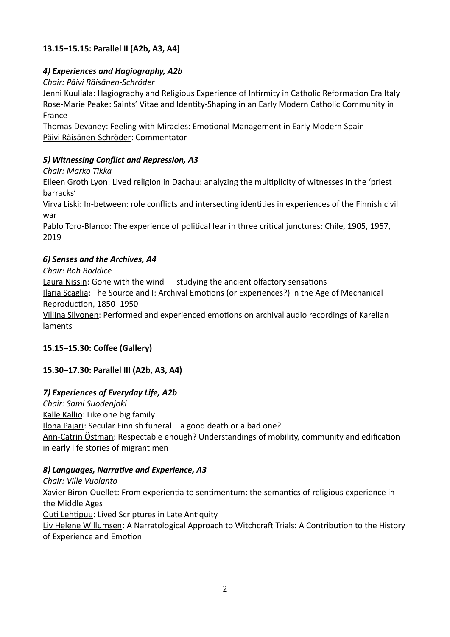# **13.15–15.15: Parallel II (A2b, A3, A4)**

# *4) Experiences and Hagiography, A2b*

*Chair: Päivi Räisänen-Schröder*

Jenni Kuuliala: Hagiography and Religious Experience of Infirmity in Catholic Reformation Era Italy Rose-Marie Peake: Saints' Vitae and Identity-Shaping in an Early Modern Catholic Community in France

Thomas Devaney: Feeling with Miracles: Emotional Management in Early Modern Spain Päivi Räisänen-Schröder: Commentator

# *5) Witnessing Conflict and Repression, A3*

*Chair: Marko Tikka*

Eileen Groth Lyon: Lived religion in Dachau: analyzing the multiplicity of witnesses in the 'priest barracks'

Virva Liski: In-between: role conflicts and intersecting identities in experiences of the Finnish civil war

Pablo Toro-Blanco: The experience of political fear in three critical junctures: Chile, 1905, 1957, 2019

# *6) Senses and the Archives, A4*

*Chair: Rob Boddice*

Laura Nissin: Gone with the wind — studying the ancient olfactory sensations

Ilaria Scaglia: The Source and I: Archival Emotions (or Experiences?) in the Age of Mechanical Reproduction, 1850–1950

Viliina Silvonen: Performed and experienced emotions on archival audio recordings of Karelian laments

# **15.15–15.30: Coffee (Gallery)**

# **15.30–17.30: Parallel III (A2b, A3, A4)**

# *7) Experiences of Everyday Life, A2b*

*Chair: Sami Suodenjoki* Kalle Kallio: Like one big family Ilona Pajari: Secular Finnish funeral – a good death or a bad one? Ann-Catrin Östman: Respectable enough? Understandings of mobility, community and edification in early life stories of migrant men

# *8) Languages, Narrative and Experience, A3*

*Chair: Ville Vuolanto* Xavier Biron-Ouellet: From experientia to sentimentum: the semantics of religious experience in the Middle Ages Outi Lehtipuu: Lived Scriptures in Late Antiquity Liv Helene Willumsen: A Narratological Approach to Witchcraft Trials: A Contribution to the History of Experience and Emotion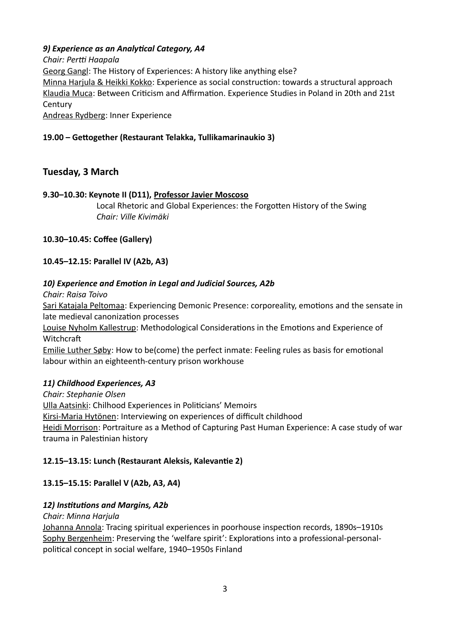# *9) Experience as an Analytical Category, A4*

*Chair: Pertti Haapala* Georg Gangl: The History of Experiences: A history like anything else? Minna Harjula & Heikki Kokko: Experience as social construction: towards a structural approach Klaudia Muca: Between Criticism and Affirmation. Experience Studies in Poland in 20th and 21st **Century** Andreas Rydberg: Inner Experience

**19.00 – Gettogether (Restaurant Telakka, Tullikamarinaukio 3)**

# **Tuesday, 3 March**

# **9.30–10.30: Keynote II (D11), Professor Javier Moscoso**

Local Rhetoric and Global Experiences: the Forgotten History of the Swing *Chair: Ville Kivimäki*

# **10.30–10.45: Coffee (Gallery)**

# **10.45–12.15: Parallel IV (A2b, A3)**

# *10) Experience and Emotion in Legal and Judicial Sources, A2b*

*Chair: Raisa Toivo*

Sari Katajala Peltomaa: Experiencing Demonic Presence: corporeality, emotions and the sensate in late medieval canonization processes

Louise Nyholm Kallestrup: Methodological Considerations in the Emotions and Experience of Witchcraft

Emilie Luther Søby: How to be(come) the perfect inmate: Feeling rules as basis for emotional labour within an eighteenth-century prison workhouse

# *11) Childhood Experiences, A3*

*Chair: Stephanie Olsen* Ulla Aatsinki: Chilhood Experiences in Politicians' Memoirs Kirsi-Maria Hytönen: Interviewing on experiences of difficult childhood Heidi Morrison: Portraiture as a Method of Capturing Past Human Experience: A case study of war trauma in Palestinian history

# **12.15–13.15: Lunch (Restaurant Aleksis, Kalevantie 2)**

# **13.15–15.15: Parallel V (A2b, A3, A4)**

# *12) Institutions and Margins, A2b*

*Chair: Minna Harjula* Johanna Annola: Tracing spiritual experiences in poorhouse inspection records, 1890s–1910s Sophy Bergenheim: Preserving the 'welfare spirit': Explorations into a professional-personalpolitical concept in social welfare, 1940–1950s Finland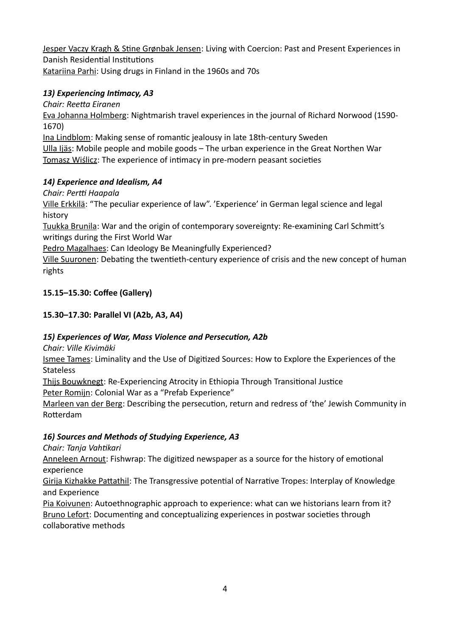Jesper Vaczy Kragh & Stine Grønbak Jensen: Living with Coercion: Past and Present Experiences in Danish Residential Institutions Katariina Parhi: Using drugs in Finland in the 1960s and 70s

# *13) Experiencing Intimacy, A3*

*Chair: Reetta Eiranen*

Eva Johanna Holmberg: Nightmarish travel experiences in the journal of Richard Norwood (1590- 1670)

Ina Lindblom: Making sense of romantic jealousy in late 18th-century Sweden Ulla Ijäs: Mobile people and mobile goods – The urban experience in the Great Northen War Tomasz Wiślicz: The experience of intimacy in pre-modern peasant societies

# *14) Experience and Idealism, A4*

*Chair: Pertti Haapala*

Ville Erkkilä: "The peculiar experience of law". 'Experience' in German legal science and legal history

Tuukka Brunila: War and the origin of contemporary sovereignty: Re-examining Carl Schmitt's writings during the First World War

Pedro Magalhaes: Can Ideology Be Meaningfully Experienced?

Ville Suuronen: Debating the twentieth-century experience of crisis and the new concept of human rights

# **15.15–15.30: Coffee (Gallery)**

# **15.30–17.30: Parallel VI (A2b, A3, A4)**

# *15) Experiences of War, Mass Violence and Persecution, A2b*

*Chair: Ville Kivimäki*

Ismee Tames: Liminality and the Use of Digitized Sources: How to Explore the Experiences of the **Stateless** 

Thijs Bouwknegt: Re-Experiencing Atrocity in Ethiopia Through Transitional Justice Peter Romijn: Colonial War as a "Prefab Experience"

Marleen van der Berg: Describing the persecution, return and redress of 'the' Jewish Community in Rotterdam

# *16) Sources and Methods of Studying Experience, A3*

*Chair: Tanja Vahtikari*

Anneleen Arnout: Fishwrap: The digitized newspaper as a source for the history of emotional experience

Girija Kizhakke Pattathil: The Transgressive potential of Narrative Tropes: Interplay of Knowledge and Experience

Pia Koivunen: Autoethnographic approach to experience: what can we historians learn from it? Bruno Lefort: Documenting and conceptualizing experiences in postwar societies through collaborative methods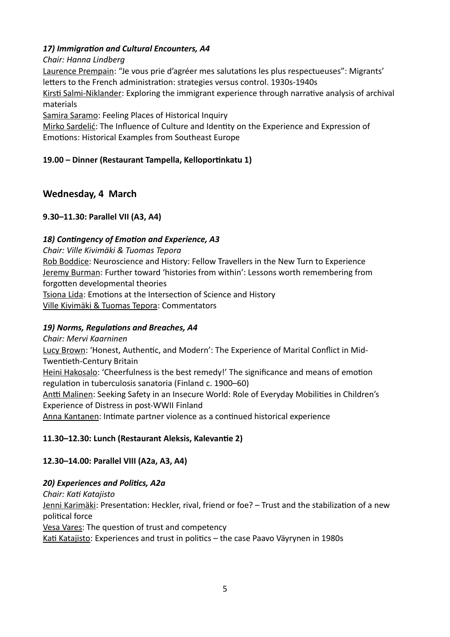# *17) Immigration and Cultural Encounters, A4*

# *Chair: Hanna Lindberg*

Laurence Prempain: "Je vous prie d'agréer mes salutations les plus respectueuses": Migrants' letters to the French administration: strategies versus control. 1930s-1940s

Kirsti Salmi-Niklander: Exploring the immigrant experience through narrative analysis of archival materials

Samira Saramo: Feeling Places of Historical Inquiry

Mirko Sardelić: The Influence of Culture and Identity on the Experience and Expression of Emotions: Historical Examples from Southeast Europe

# **19.00 – Dinner (Restaurant Tampella, Kelloportinkatu 1)**

# **Wednesday, 4 March**

# **9.30–11.30: Parallel VII (A3, A4)**

# *18) Contingency of Emotion and Experience, A3*

*Chair: Ville Kivimäki & Tuomas Tepora*

Rob Boddice: Neuroscience and History: Fellow Travellers in the New Turn to Experience Jeremy Burman: Further toward 'histories from within': Lessons worth remembering from forgotten developmental theories Tsiona Lida: Emotions at the Intersection of Science and History

Ville Kivimäki & Tuomas Tepora: Commentators

# *19) Norms, Regulations and Breaches, A4*

# *Chair: Mervi Kaarninen*

Lucy Brown: 'Honest, Authentic, and Modern': The Experience of Marital Conflict in Mid-Twentieth-Century Britain

Heini Hakosalo: 'Cheerfulness is the best remedy!' The significance and means of emotion regulation in tuberculosis sanatoria (Finland c. 1900–60)

Antti Malinen: Seeking Safety in an Insecure World: Role of Everyday Mobilities in Children's Experience of Distress in post-WWII Finland

Anna Kantanen: Intimate partner violence as a continued historical experience

# **11.30–12.30: Lunch (Restaurant Aleksis, Kalevantie 2)**

# **12.30–14.00: Parallel VIII (A2a, A3, A4)**

# *20) Experiences and Politics, A2a*

*Chair: Kati Katajisto*

Jenni Karimäki: Presentation: Heckler, rival, friend or foe? - Trust and the stabilization of a new political force

Vesa Vares: The question of trust and competency

Kati Katajisto: Experiences and trust in politics – the case Paavo Väyrynen in 1980s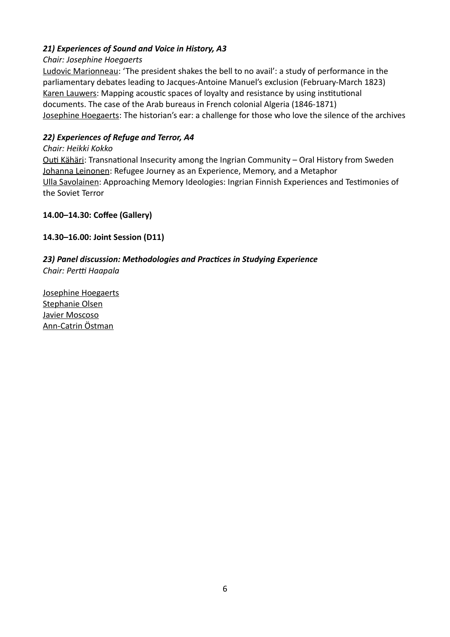# *21) Experiences of Sound and Voice in History, A3*

# *Chair: Josephine Hoegaerts*

Ludovic Marionneau: 'The president shakes the bell to no avail': a study of performance in the parliamentary debates leading to Jacques-Antoine Manuel's exclusion (February-March 1823) Karen Lauwers: Mapping acoustic spaces of loyalty and resistance by using institutional documents. The case of the Arab bureaus in French colonial Algeria (1846-1871) Josephine Hoegaerts: The historian's ear: a challenge for those who love the silence of the archives

# *22) Experiences of Refuge and Terror, A4*

## *Chair: Heikki Kokko*

Outi Kähäri: Transnational Insecurity among the Ingrian Community – Oral History from Sweden Johanna Leinonen: Refugee Journey as an Experience, Memory, and a Metaphor Ulla Savolainen: Approaching Memory Ideologies: Ingrian Finnish Experiences and Testimonies of the Soviet Terror

# **14.00–14.30: Coffee (Gallery)**

# **14.30–16.00: Joint Session (D11)**

# *23) Panel discussion: Methodologies and Practices in Studying Experience Chair: Pertti Haapala*

Josephine Hoegaerts Stephanie Olsen Javier Moscoso Ann-Catrin Östman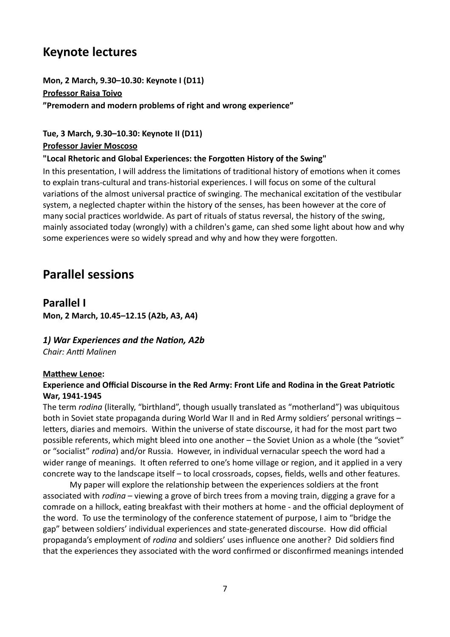# **Keynote lectures**

**Mon, 2 March, 9.30–10.30: Keynote I (D11) Professor Raisa Toivo "Premodern and modern problems of right and wrong experience"**

**Tue, 3 March, 9.30–10.30: Keynote II (D11)**

**Professor Javier Moscoso**

## **"Local Rhetoric and Global Experiences: the Forgotten History of the Swing"**

In this presentation, I will address the limitations of traditional history of emotions when it comes to explain trans-cultural and trans-historial experiences. I will focus on some of the cultural variations of the almost universal practice of swinging. The mechanical excitation of the vestibular system, a neglected chapter within the history of the senses, has been however at the core of many social practices worldwide. As part of rituals of status reversal, the history of the swing, mainly associated today (wrongly) with a children's game, can shed some light about how and why some experiences were so widely spread and why and how they were forgotten.

# **Parallel sessions**

# **Parallel I**

**Mon, 2 March, 10.45–12.15 (A2b, A3, A4)**

# *1) War Experiences and the Nation, A2b*

*Chair: Antti Malinen*

# **Matthew Lenoe:**

# **Experience and Official Discourse in the Red Army: Front Life and Rodina in the Great Patriotic War, 1941-1945**

The term *rodina* (literally, "birthland", though usually translated as "motherland") was ubiquitous both in Soviet state propaganda during World War II and in Red Army soldiers' personal writings – letters, diaries and memoirs. Within the universe of state discourse, it had for the most part two possible referents, which might bleed into one another – the Soviet Union as a whole (the "soviet" or "socialist" *rodina*) and/or Russia. However, in individual vernacular speech the word had a wider range of meanings. It often referred to one's home village or region, and it applied in a very concrete way to the landscape itself – to local crossroads, copses, fields, wells and other features.

My paper will explore the relationship between the experiences soldiers at the front associated with *rodina* – viewing a grove of birch trees from a moving train, digging a grave for a comrade on a hillock, eating breakfast with their mothers at home - and the official deployment of the word. To use the terminology of the conference statement of purpose, I aim to "bridge the gap" between soldiers' individual experiences and state-generated discourse. How did official propaganda's employment of *rodina* and soldiers' uses influence one another? Did soldiers find that the experiences they associated with the word confirmed or disconfirmed meanings intended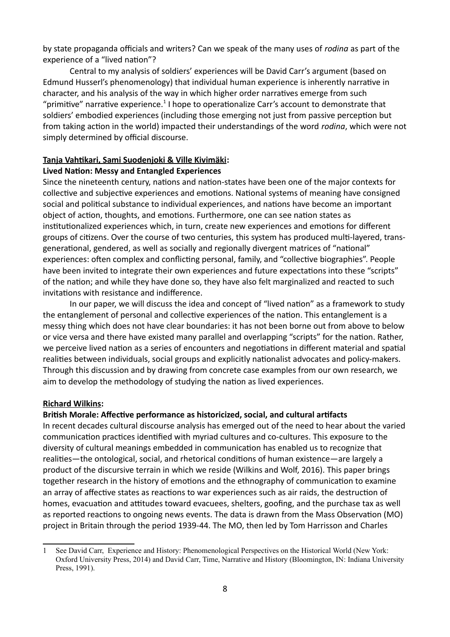by state propaganda officials and writers? Can we speak of the many uses of *rodina* as part of the experience of a "lived nation"?

Central to my analysis of soldiers' experiences will be David Carr's argument (based on Edmund Husserl's phenomenology) that individual human experience is inherently narrative in character, and his analysis of the way in which higher order narratives emerge from such "primitive" narrative experience.<sup>[1](#page-7-0)</sup> I hope to operationalize Carr's account to demonstrate that soldiers' embodied experiences (including those emerging not just from passive perception but from taking action in the world) impacted their understandings of the word *rodina*, which were not simply determined by official discourse.

### **Tanja Vahtikari, Sami Suodenjoki & Ville Kivimäki:**

### **Lived Nation: Messy and Entangled Experiences**

Since the nineteenth century, nations and nation-states have been one of the major contexts for collective and subjective experiences and emotions. National systems of meaning have consigned social and political substance to individual experiences, and nations have become an important object of action, thoughts, and emotions. Furthermore, one can see nation states as institutionalized experiences which, in turn, create new experiences and emotions for different groups of citizens. Over the course of two centuries, this system has produced multi-layered, transgenerational, gendered, as well as socially and regionally divergent matrices of "national" experiences: often complex and conflicting personal, family, and "collective biographies". People have been invited to integrate their own experiences and future expectations into these "scripts" of the nation; and while they have done so, they have also felt marginalized and reacted to such invitations with resistance and indifference.

In our paper, we will discuss the idea and concept of "lived nation" as a framework to study the entanglement of personal and collective experiences of the nation. This entanglement is a messy thing which does not have clear boundaries: it has not been borne out from above to below or vice versa and there have existed many parallel and overlapping "scripts" for the nation. Rather, we perceive lived nation as a series of encounters and negotiations in different material and spatial realities between individuals, social groups and explicitly nationalist advocates and policy-makers. Through this discussion and by drawing from concrete case examples from our own research, we aim to develop the methodology of studying the nation as lived experiences.

### **Richard Wilkins:**

### **British Morale: Affective performance as historicized, social, and cultural artifacts**

In recent decades cultural discourse analysis has emerged out of the need to hear about the varied communication practices identified with myriad cultures and co-cultures. This exposure to the diversity of cultural meanings embedded in communication has enabled us to recognize that realities—the ontological, social, and rhetorical conditions of human existence—are largely a product of the discursive terrain in which we reside (Wilkins and Wolf, 2016). This paper brings together research in the history of emotions and the ethnography of communication to examine an array of affective states as reactions to war experiences such as air raids, the destruction of homes, evacuation and attitudes toward evacuees, shelters, goofing, and the purchase tax as well as reported reactions to ongoing news events. The data is drawn from the Mass Observation (MO) project in Britain through the period 1939-44. The MO, then led by Tom Harrisson and Charles

<span id="page-7-0"></span><sup>1</sup> See David Carr, Experience and History: Phenomenological Perspectives on the Historical World (New York: Oxford University Press, 2014) and David Carr, Time, Narrative and History (Bloomington, IN: Indiana University Press, 1991).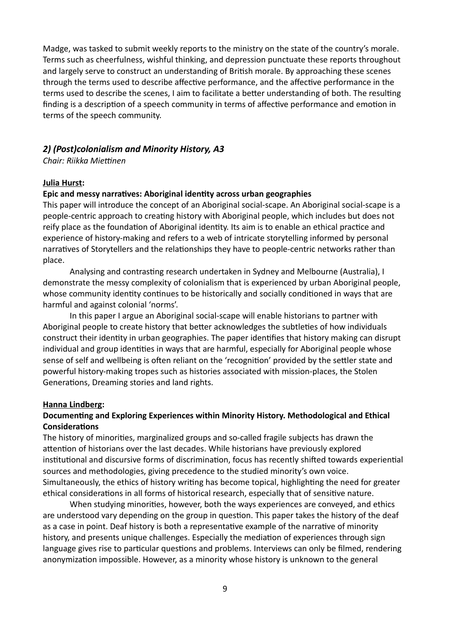Madge, was tasked to submit weekly reports to the ministry on the state of the country's morale. Terms such as cheerfulness, wishful thinking, and depression punctuate these reports throughout and largely serve to construct an understanding of British morale. By approaching these scenes through the terms used to describe affective performance, and the affective performance in the terms used to describe the scenes, I aim to facilitate a better understanding of both. The resulting finding is a description of a speech community in terms of affective performance and emotion in terms of the speech community.

### *2) (Post)colonialism and Minority History, A3*

*Chair: Riikka Miettinen*

#### **Julia Hurst:**

#### **Epic and messy narratives: Aboriginal identity across urban geographies**

This paper will introduce the concept of an Aboriginal social-scape. An Aboriginal social-scape is a people-centric approach to creating history with Aboriginal people, which includes but does not reify place as the foundation of Aboriginal identity. Its aim is to enable an ethical practice and experience of history-making and refers to a web of intricate storytelling informed by personal narratives of Storytellers and the relationships they have to people-centric networks rather than place.

Analysing and contrasting research undertaken in Sydney and Melbourne (Australia), I demonstrate the messy complexity of colonialism that is experienced by urban Aboriginal people, whose community identity continues to be historically and socially conditioned in ways that are harmful and against colonial 'norms'.

In this paper I argue an Aboriginal social-scape will enable historians to partner with Aboriginal people to create history that better acknowledges the subtleties of how individuals construct their identity in urban geographies. The paper identifies that history making can disrupt individual and group identities in ways that are harmful, especially for Aboriginal people whose sense of self and wellbeing is often reliant on the 'recognition' provided by the settler state and powerful history-making tropes such as histories associated with mission-places, the Stolen Generations, Dreaming stories and land rights.

#### **Hanna Lindberg:**

### **Documenting and Exploring Experiences within Minority History. Methodological and Ethical Considerations**

The history of minorities, marginalized groups and so-called fragile subjects has drawn the attention of historians over the last decades. While historians have previously explored institutional and discursive forms of discrimination, focus has recently shifted towards experiential sources and methodologies, giving precedence to the studied minority's own voice. Simultaneously, the ethics of history writing has become topical, highlighting the need for greater ethical considerations in all forms of historical research, especially that of sensitive nature.

When studying minorities, however, both the ways experiences are conveyed, and ethics are understood vary depending on the group in question. This paper takes the history of the deaf as a case in point. Deaf history is both a representative example of the narrative of minority history, and presents unique challenges. Especially the mediation of experiences through sign language gives rise to particular questions and problems. Interviews can only be filmed, rendering anonymization impossible. However, as a minority whose history is unknown to the general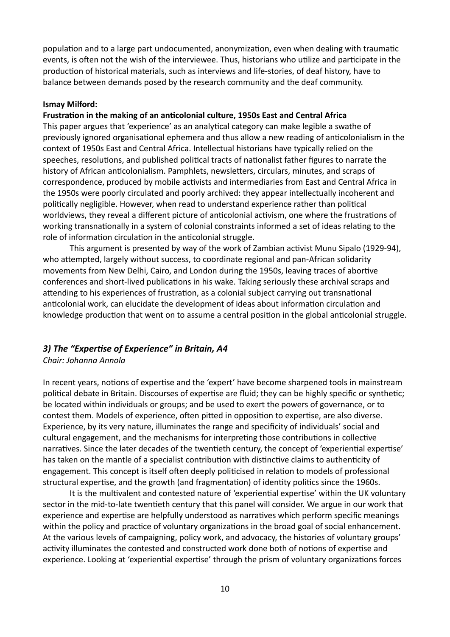population and to a large part undocumented, anonymization, even when dealing with traumatic events, is often not the wish of the interviewee. Thus, historians who utilize and participate in the production of historical materials, such as interviews and life-stories, of deaf history, have to balance between demands posed by the research community and the deaf community.

#### **Ismay Milford:**

# **Frustration in the making of an anticolonial culture, 1950s East and Central Africa**

This paper argues that 'experience' as an analytical category can make legible a swathe of previously ignored organisational ephemera and thus allow a new reading of anticolonialism in the context of 1950s East and Central Africa. Intellectual historians have typically relied on the speeches, resolutions, and published political tracts of nationalist father figures to narrate the history of African anticolonialism. Pamphlets, newsletters, circulars, minutes, and scraps of correspondence, produced by mobile activists and intermediaries from East and Central Africa in the 1950s were poorly circulated and poorly archived: they appear intellectually incoherent and politically negligible. However, when read to understand experience rather than political worldviews, they reveal a different picture of anticolonial activism, one where the frustrations of working transnationally in a system of colonial constraints informed a set of ideas relating to the role of information circulation in the anticolonial struggle.

This argument is presented by way of the work of Zambian activist Munu Sipalo (1929-94), who attempted, largely without success, to coordinate regional and pan-African solidarity movements from New Delhi, Cairo, and London during the 1950s, leaving traces of abortive conferences and short-lived publications in his wake. Taking seriously these archival scraps and attending to his experiences of frustration, as a colonial subject carrying out transnational anticolonial work, can elucidate the development of ideas about information circulation and knowledge production that went on to assume a central position in the global anticolonial struggle.

### *3) The "Expertise of Experience" in Britain, A4 Chair: Johanna Annola*

In recent years, notions of expertise and the 'expert' have become sharpened tools in mainstream political debate in Britain. Discourses of expertise are fluid; they can be highly specific or synthetic; be located within individuals or groups; and be used to exert the powers of governance, or to contest them. Models of experience, often pitted in opposition to expertise, are also diverse. Experience, by its very nature, illuminates the range and specificity of individuals' social and cultural engagement, and the mechanisms for interpreting those contributions in collective narratives. Since the later decades of the twentieth century, the concept of 'experiential expertise' has taken on the mantle of a specialist contribution with distinctive claims to authenticity of engagement. This concept is itself often deeply politicised in relation to models of professional structural expertise, and the growth (and fragmentation) of identity politics since the 1960s.

It is the multivalent and contested nature of 'experiential expertise' within the UK voluntary sector in the mid-to-late twentieth century that this panel will consider. We argue in our work that experience and expertise are helpfully understood as narratives which perform specific meanings within the policy and practice of voluntary organizations in the broad goal of social enhancement. At the various levels of campaigning, policy work, and advocacy, the histories of voluntary groups' activity illuminates the contested and constructed work done both of notions of expertise and experience. Looking at 'experiential expertise' through the prism of voluntary organizations forces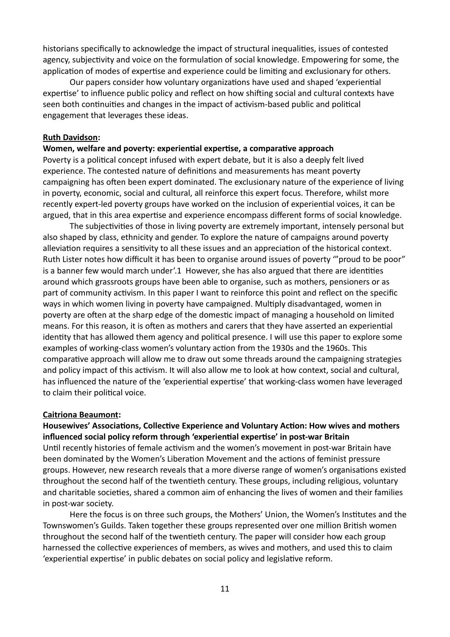historians specifically to acknowledge the impact of structural inequalities, issues of contested agency, subjectivity and voice on the formulation of social knowledge. Empowering for some, the application of modes of expertise and experience could be limiting and exclusionary for others.

Our papers consider how voluntary organizations have used and shaped 'experiential expertise' to influence public policy and reflect on how shifting social and cultural contexts have seen both continuities and changes in the impact of activism-based public and political engagement that leverages these ideas.

#### **Ruth Davidson:**

#### **Women, welfare and poverty: experiential expertise, a comparative approach**

Poverty is a political concept infused with expert debate, but it is also a deeply felt lived experience. The contested nature of definitions and measurements has meant poverty campaigning has often been expert dominated. The exclusionary nature of the experience of living in poverty, economic, social and cultural, all reinforce this expert focus. Therefore, whilst more recently expert-led poverty groups have worked on the inclusion of experiential voices, it can be argued, that in this area expertise and experience encompass different forms of social knowledge.

The subjectivities of those in living poverty are extremely important, intensely personal but also shaped by class, ethnicity and gender. To explore the nature of campaigns around poverty alleviation requires a sensitivity to all these issues and an appreciation of the historical context. Ruth Lister notes how difficult it has been to organise around issues of poverty '"proud to be poor" is a banner few would march under'.1 However, she has also argued that there are identities around which grassroots groups have been able to organise, such as mothers, pensioners or as part of community activism. In this paper I want to reinforce this point and reflect on the specific ways in which women living in poverty have campaigned. Multiply disadvantaged, women in poverty are often at the sharp edge of the domestic impact of managing a household on limited means. For this reason, it is often as mothers and carers that they have asserted an experiential identity that has allowed them agency and political presence. I will use this paper to explore some examples of working-class women's voluntary action from the 1930s and the 1960s. This comparative approach will allow me to draw out some threads around the campaigning strategies and policy impact of this activism. It will also allow me to look at how context, social and cultural, has influenced the nature of the 'experiential expertise' that working-class women have leveraged to claim their political voice.

#### **Caitriona Beaumont:**

**Housewives' Associations, Collective Experience and Voluntary Action: How wives and mothers influenced social policy reform through 'experiential expertise' in post-war Britain** Until recently histories of female activism and the women's movement in post-war Britain have been dominated by the Women's Liberation Movement and the actions of feminist pressure groups. However, new research reveals that a more diverse range of women's organisations existed throughout the second half of the twentieth century. These groups, including religious, voluntary and charitable societies, shared a common aim of enhancing the lives of women and their families in post-war society.

Here the focus is on three such groups, the Mothers' Union, the Women's Institutes and the Townswomen's Guilds. Taken together these groups represented over one million British women throughout the second half of the twentieth century. The paper will consider how each group harnessed the collective experiences of members, as wives and mothers, and used this to claim 'experiential expertise' in public debates on social policy and legislative reform.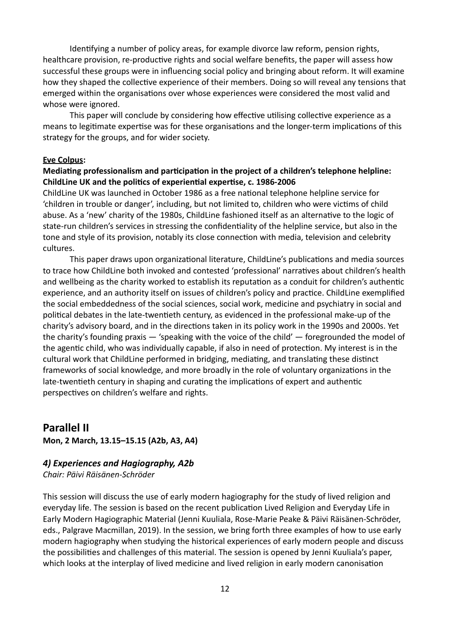Identifying a number of policy areas, for example divorce law reform, pension rights, healthcare provision, re-productive rights and social welfare benefits, the paper will assess how successful these groups were in influencing social policy and bringing about reform. It will examine how they shaped the collective experience of their members. Doing so will reveal any tensions that emerged within the organisations over whose experiences were considered the most valid and whose were ignored.

This paper will conclude by considering how effective utilising collective experience as a means to legitimate expertise was for these organisations and the longer-term implications of this strategy for the groups, and for wider society.

#### **Eve Colpus:**

### **Mediating professionalism and participation in the project of a children's telephone helpline: ChildLine UK and the politics of experiential expertise, c. 1986-2006**

ChildLine UK was launched in October 1986 as a free national telephone helpline service for 'children in trouble or danger', including, but not limited to, children who were victims of child abuse. As a 'new' charity of the 1980s, ChildLine fashioned itself as an alternative to the logic of state-run children's services in stressing the confidentiality of the helpline service, but also in the tone and style of its provision, notably its close connection with media, television and celebrity cultures.

This paper draws upon organizational literature, ChildLine's publications and media sources to trace how ChildLine both invoked and contested 'professional' narratives about children's health and wellbeing as the charity worked to establish its reputation as a conduit for children's authentic experience, and an authority itself on issues of children's policy and practice. ChildLine exemplified the social embeddedness of the social sciences, social work, medicine and psychiatry in social and political debates in the late-twentieth century, as evidenced in the professional make-up of the charity's advisory board, and in the directions taken in its policy work in the 1990s and 2000s. Yet the charity's founding praxis — 'speaking with the voice of the child' — foregrounded the model of the agentic child, who was individually capable, if also in need of protection. My interest is in the cultural work that ChildLine performed in bridging, mediating, and translating these distinct frameworks of social knowledge, and more broadly in the role of voluntary organizations in the late-twentieth century in shaping and curating the implications of expert and authentic perspectives on children's welfare and rights.

# **Parallel II**

**Mon, 2 March, 13.15–15.15 (A2b, A3, A4)**

### *4) Experiences and Hagiography, A2b*

*Chair: Päivi Räisänen-Schröder*

This session will discuss the use of early modern hagiography for the study of lived religion and everyday life. The session is based on the recent publication Lived Religion and Everyday Life in Early Modern Hagiographic Material (Jenni Kuuliala, Rose-Marie Peake & Päivi Räisänen-Schröder, eds., Palgrave Macmillan, 2019). In the session, we bring forth three examples of how to use early modern hagiography when studying the historical experiences of early modern people and discuss the possibilities and challenges of this material. The session is opened by Jenni Kuuliala's paper, which looks at the interplay of lived medicine and lived religion in early modern canonisation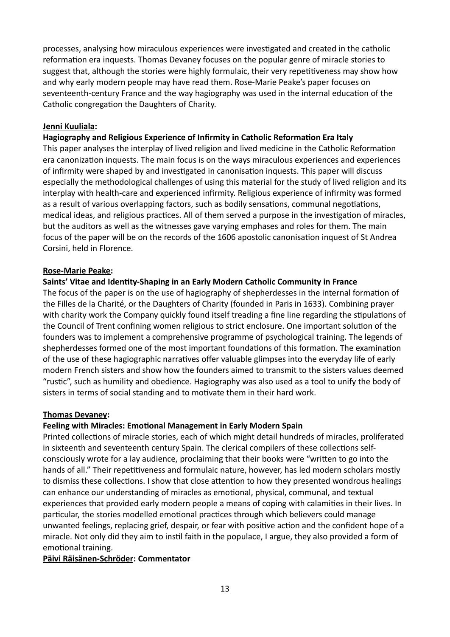processes, analysing how miraculous experiences were investigated and created in the catholic reformation era inquests. Thomas Devaney focuses on the popular genre of miracle stories to suggest that, although the stories were highly formulaic, their very repetitiveness may show how and why early modern people may have read them. Rose-Marie Peake's paper focuses on seventeenth-century France and the way hagiography was used in the internal education of the Catholic congregation the Daughters of Charity.

### **Jenni Kuuliala:**

### **Hagiography and Religious Experience of Infirmity in Catholic Reformation Era Italy**

This paper analyses the interplay of lived religion and lived medicine in the Catholic Reformation era canonization inquests. The main focus is on the ways miraculous experiences and experiences of infirmity were shaped by and investigated in canonisation inquests. This paper will discuss especially the methodological challenges of using this material for the study of lived religion and its interplay with health-care and experienced infirmity. Religious experience of infirmity was formed as a result of various overlapping factors, such as bodily sensations, communal negotiations, medical ideas, and religious practices. All of them served a purpose in the investigation of miracles, but the auditors as well as the witnesses gave varying emphases and roles for them. The main focus of the paper will be on the records of the 1606 apostolic canonisation inquest of St Andrea Corsini, held in Florence.

### **Rose-Marie Peake:**

### **Saints' Vitae and Identity-Shaping in an Early Modern Catholic Community in France**

The focus of the paper is on the use of hagiography of shepherdesses in the internal formation of the Filles de la Charité, or the Daughters of Charity (founded in Paris in 1633). Combining prayer with charity work the Company quickly found itself treading a fine line regarding the stipulations of the Council of Trent confining women religious to strict enclosure. One important solution of the founders was to implement a comprehensive programme of psychological training. The legends of shepherdesses formed one of the most important foundations of this formation. The examination of the use of these hagiographic narratives offer valuable glimpses into the everyday life of early modern French sisters and show how the founders aimed to transmit to the sisters values deemed "rustic", such as humility and obedience. Hagiography was also used as a tool to unify the body of sisters in terms of social standing and to motivate them in their hard work.

### **Thomas Devaney:**

### **Feeling with Miracles: Emotional Management in Early Modern Spain**

Printed collections of miracle stories, each of which might detail hundreds of miracles, proliferated in sixteenth and seventeenth century Spain. The clerical compilers of these collections selfconsciously wrote for a lay audience, proclaiming that their books were "written to go into the hands of all." Their repetitiveness and formulaic nature, however, has led modern scholars mostly to dismiss these collections. I show that close attention to how they presented wondrous healings can enhance our understanding of miracles as emotional, physical, communal, and textual experiences that provided early modern people a means of coping with calamities in their lives. In particular, the stories modelled emotional practices through which believers could manage unwanted feelings, replacing grief, despair, or fear with positive action and the confident hope of a miracle. Not only did they aim to instil faith in the populace, I argue, they also provided a form of emotional training.

## **Päivi Räisänen-Schröder: Commentator**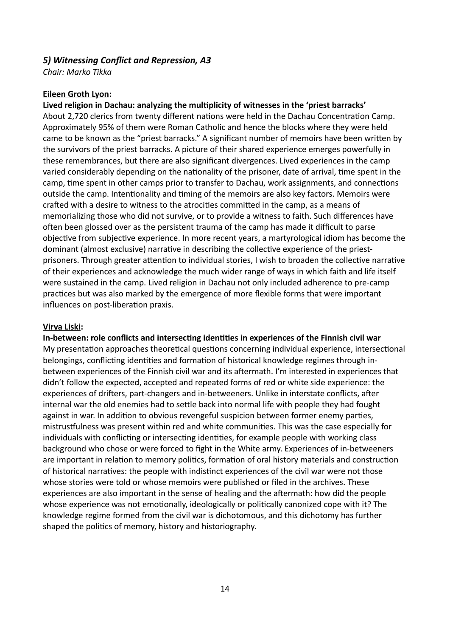# *5) Witnessing Conflict and Repression, A3*

*Chair: Marko Tikka*

### **Eileen Groth Lyon:**

### **Lived religion in Dachau: analyzing the multiplicity of witnesses in the 'priest barracks'**

About 2,720 clerics from twenty different nations were held in the Dachau Concentration Camp. Approximately 95% of them were Roman Catholic and hence the blocks where they were held came to be known as the "priest barracks." A significant number of memoirs have been written by the survivors of the priest barracks. A picture of their shared experience emerges powerfully in these remembrances, but there are also significant divergences. Lived experiences in the camp varied considerably depending on the nationality of the prisoner, date of arrival, time spent in the camp, time spent in other camps prior to transfer to Dachau, work assignments, and connections outside the camp. Intentionality and timing of the memoirs are also key factors. Memoirs were crafted with a desire to witness to the atrocities committed in the camp, as a means of memorializing those who did not survive, or to provide a witness to faith. Such differences have often been glossed over as the persistent trauma of the camp has made it difficult to parse objective from subjective experience. In more recent years, a martyrological idiom has become the dominant (almost exclusive) narrative in describing the collective experience of the priestprisoners. Through greater attention to individual stories, I wish to broaden the collective narrative of their experiences and acknowledge the much wider range of ways in which faith and life itself were sustained in the camp. Lived religion in Dachau not only included adherence to pre-camp practices but was also marked by the emergence of more flexible forms that were important influences on post-liberation praxis.

### **Virva Liski:**

**In-between: role conflicts and intersecting identities in experiences of the Finnish civil war** My presentation approaches theoretical questions concerning individual experience, intersectional belongings, conflicting identities and formation of historical knowledge regimes through inbetween experiences of the Finnish civil war and its aftermath. I'm interested in experiences that didn't follow the expected, accepted and repeated forms of red or white side experience: the experiences of drifters, part-changers and in-betweeners. Unlike in interstate conflicts, after internal war the old enemies had to settle back into normal life with people they had fought against in war. In addition to obvious revengeful suspicion between former enemy parties, mistrustfulness was present within red and white communities. This was the case especially for individuals with conflicting or intersecting identities, for example people with working class background who chose or were forced to fight in the White army. Experiences of in-betweeners are important in relation to memory politics, formation of oral history materials and construction of historical narratives: the people with indistinct experiences of the civil war were not those whose stories were told or whose memoirs were published or filed in the archives. These experiences are also important in the sense of healing and the aftermath: how did the people whose experience was not emotionally, ideologically or politically canonized cope with it? The knowledge regime formed from the civil war is dichotomous, and this dichotomy has further shaped the politics of memory, history and historiography.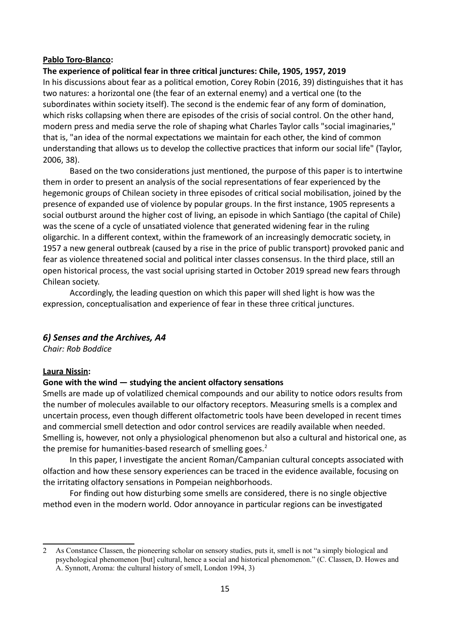### **Pablo Toro-Blanco:**

### **The experience of political fear in three critical junctures: Chile, 1905, 1957, 2019**

In his discussions about fear as a political emotion, Corey Robin (2016, 39) distinguishes that it has two natures: a horizontal one (the fear of an external enemy) and a vertical one (to the subordinates within society itself). The second is the endemic fear of any form of domination, which risks collapsing when there are episodes of the crisis of social control. On the other hand, modern press and media serve the role of shaping what Charles Taylor calls "social imaginaries," that is, "an idea of the normal expectations we maintain for each other, the kind of common understanding that allows us to develop the collective practices that inform our social life" (Taylor, 2006, 38).

Based on the two considerations just mentioned, the purpose of this paper is to intertwine them in order to present an analysis of the social representations of fear experienced by the hegemonic groups of Chilean society in three episodes of critical social mobilisation, joined by the presence of expanded use of violence by popular groups. In the first instance, 1905 represents a social outburst around the higher cost of living, an episode in which Santiago (the capital of Chile) was the scene of a cycle of unsatiated violence that generated widening fear in the ruling oligarchic. In a different context, within the framework of an increasingly democratic society, in 1957 a new general outbreak (caused by a rise in the price of public transport) provoked panic and fear as violence threatened social and political inter classes consensus. In the third place, still an open historical process, the vast social uprising started in October 2019 spread new fears through Chilean society.

Accordingly, the leading question on which this paper will shed light is how was the expression, conceptualisation and experience of fear in these three critical junctures.

### *6) Senses and the Archives, A4*

*Chair: Rob Boddice*

### **Laura Nissin:**

### **Gone with the wind — studying the ancient olfactory sensations**

Smells are made up of volatilized chemical compounds and our ability to notice odors results from the number of molecules available to our olfactory receptors. Measuring smells is a complex and uncertain process, even though different olfactometric tools have been developed in recent times and commercial smell detection and odor control services are readily available when needed. Smelling is, however, not only a physiological phenomenon but also a cultural and historical one, as the premise for humanities-based research of smelling goes. $<sup>2</sup>$  $<sup>2</sup>$  $<sup>2</sup>$ </sup>

In this paper, I investigate the ancient Roman/Campanian cultural concepts associated with olfaction and how these sensory experiences can be traced in the evidence available, focusing on the irritating olfactory sensations in Pompeian neighborhoods.

For finding out how disturbing some smells are considered, there is no single objective method even in the modern world. Odor annoyance in particular regions can be investigated

<span id="page-14-0"></span><sup>2</sup> As Constance Classen, the pioneering scholar on sensory studies, puts it, smell is not "a simply biological and psychological phenomenon [but] cultural, hence a social and historical phenomenon." (C. Classen, D. Howes and A. Synnott, Aroma: the cultural history of smell, London 1994, 3)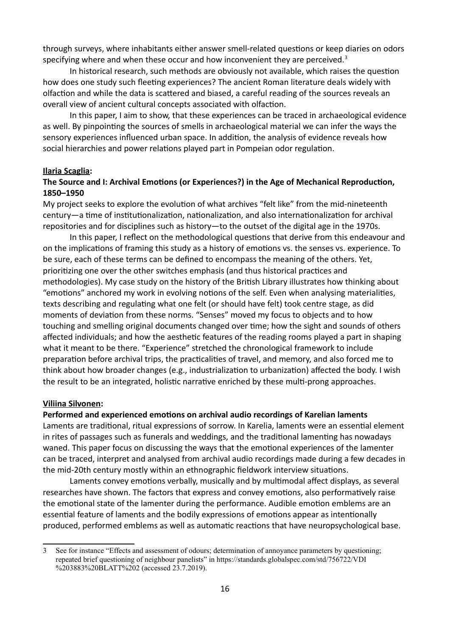through surveys, where inhabitants either answer smell-related questions or keep diaries on odors specifying where and when these occur and how inconvenient they are perceived.<sup>[3](#page-15-0)</sup>

In historical research, such methods are obviously not available, which raises the question how does one study such fleeting experiences? The ancient Roman literature deals widely with olfaction and while the data is scattered and biased, a careful reading of the sources reveals an overall view of ancient cultural concepts associated with olfaction.

In this paper, I aim to show, that these experiences can be traced in archaeological evidence as well. By pinpointing the sources of smells in archaeological material we can infer the ways the sensory experiences influenced urban space. In addition, the analysis of evidence reveals how social hierarchies and power relations played part in Pompeian odor regulation.

### **Ilaria Scaglia:**

### **The Source and I: Archival Emotions (or Experiences?) in the Age of Mechanical Reproduction, 1850–1950**

My project seeks to explore the evolution of what archives "felt like" from the mid-nineteenth century—a time of institutionalization, nationalization, and also internationalization for archival repositories and for disciplines such as history—to the outset of the digital age in the 1970s.

In this paper, I reflect on the methodological questions that derive from this endeavour and on the implications of framing this study as a history of emotions vs. the senses vs. experience. To be sure, each of these terms can be defined to encompass the meaning of the others. Yet, prioritizing one over the other switches emphasis (and thus historical practices and methodologies). My case study on the history of the British Library illustrates how thinking about "emotions" anchored my work in evolving notions of the self. Even when analysing materialities, texts describing and regulating what one felt (or should have felt) took centre stage, as did moments of deviation from these norms. "Senses" moved my focus to objects and to how touching and smelling original documents changed over time; how the sight and sounds of others affected individuals; and how the aesthetic features of the reading rooms played a part in shaping what it meant to be there. "Experience" stretched the chronological framework to include preparation before archival trips, the practicalities of travel, and memory, and also forced me to think about how broader changes (e.g., industrialization to urbanization) affected the body. I wish the result to be an integrated, holistic narrative enriched by these multi-prong approaches.

#### **Viliina Silvonen:**

### **Performed and experienced emotions on archival audio recordings of Karelian laments**

Laments are traditional, ritual expressions of sorrow. In Karelia, laments were an essential element in rites of passages such as funerals and weddings, and the traditional lamenting has nowadays waned. This paper focus on discussing the ways that the emotional experiences of the lamenter can be traced, interpret and analysed from archival audio recordings made during a few decades in the mid-20th century mostly within an ethnographic fieldwork interview situations.

Laments convey emotions verbally, musically and by multimodal affect displays, as several researches have shown. The factors that express and convey emotions, also performatively raise the emotional state of the lamenter during the performance. Audible emotion emblems are an essential feature of laments and the bodily expressions of emotions appear as intentionally produced, performed emblems as well as automatic reactions that have neuropsychological base.

<span id="page-15-0"></span><sup>3</sup> See for instance "Effects and assessment of odours; determination of annoyance parameters by questioning; repeated brief questioning of neighbour panelists" in https://standards.globalspec.com/std/756722/VDI %203883%20BLATT%202 (accessed 23.7.2019).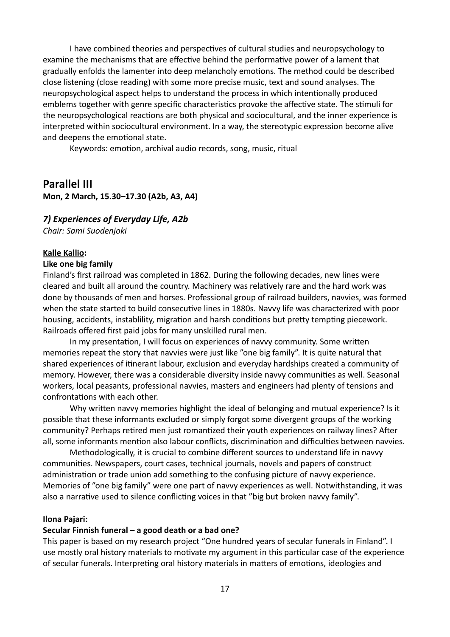I have combined theories and perspectives of cultural studies and neuropsychology to examine the mechanisms that are effective behind the performative power of a lament that gradually enfolds the lamenter into deep melancholy emotions. The method could be described close listening (close reading) with some more precise music, text and sound analyses. The neuropsychological aspect helps to understand the process in which intentionally produced emblems together with genre specific characteristics provoke the affective state. The stimuli for the neuropsychological reactions are both physical and sociocultural, and the inner experience is interpreted within sociocultural environment. In a way, the stereotypic expression become alive and deepens the emotional state.

Keywords: emotion, archival audio records, song, music, ritual

# **Parallel III**

**Mon, 2 March, 15.30–17.30 (A2b, A3, A4)**

### *7) Experiences of Everyday Life, A2b*

*Chair: Sami Suodenjoki*

### **Kalle Kallio:**

#### **Like one big family**

Finland's first railroad was completed in 1862. During the following decades, new lines were cleared and built all around the country. Machinery was relatively rare and the hard work was done by thousands of men and horses. Professional group of railroad builders, navvies, was formed when the state started to build consecutive lines in 1880s. Navvy life was characterized with poor housing, accidents, instablility, migration and harsh conditions but pretty tempting piecework. Railroads offered first paid jobs for many unskilled rural men.

In my presentation, I will focus on experiences of navvy community. Some written memories repeat the story that navvies were just like "one big family". It is quite natural that shared experiences of itinerant labour, exclusion and everyday hardships created a community of memory. However, there was a considerable diversity inside navvy communities as well. Seasonal workers, local peasants, professional navvies, masters and engineers had plenty of tensions and confrontations with each other.

Why written navvy memories highlight the ideal of belonging and mutual experience? Is it possible that these informants excluded or simply forgot some divergent groups of the working community? Perhaps retired men just romantized their youth experiences on railway lines? After all, some informants mention also labour conflicts, discrimination and difficulties between navvies.

Methodologically, it is crucial to combine different sources to understand life in navvy communities. Newspapers, court cases, technical journals, novels and papers of construct administration or trade union add something to the confusing picture of navvy experience. Memories of "one big family" were one part of navvy experiences as well. Notwithstanding, it was also a narrative used to silence conflicting voices in that "big but broken navvy family".

#### **Ilona Pajari:**

### **Secular Finnish funeral – a good death or a bad one?**

This paper is based on my research project "One hundred years of secular funerals in Finland". I use mostly oral history materials to motivate my argument in this particular case of the experience of secular funerals. Interpreting oral history materials in matters of emotions, ideologies and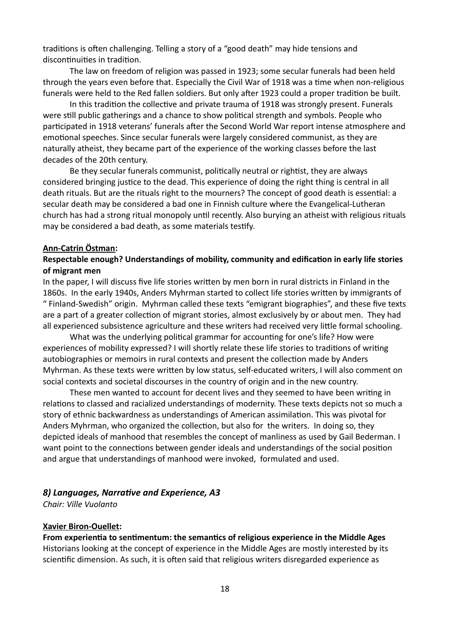traditions is often challenging. Telling a story of a "good death" may hide tensions and discontinuities in tradition.

The law on freedom of religion was passed in 1923; some secular funerals had been held through the years even before that. Especially the Civil War of 1918 was a time when non-religious funerals were held to the Red fallen soldiers. But only after 1923 could a proper tradition be built.

In this tradition the collective and private trauma of 1918 was strongly present. Funerals were still public gatherings and a chance to show political strength and symbols. People who participated in 1918 veterans' funerals after the Second World War report intense atmosphere and emotional speeches. Since secular funerals were largely considered communist, as they are naturally atheist, they became part of the experience of the working classes before the last decades of the 20th century.

Be they secular funerals communist, politically neutral or rightist, they are always considered bringing justice to the dead. This experience of doing the right thing is central in all death rituals. But are the rituals right to the mourners? The concept of good death is essential: a secular death may be considered a bad one in Finnish culture where the Evangelical-Lutheran church has had a strong ritual monopoly until recently. Also burying an atheist with religious rituals may be considered a bad death, as some materials testify.

### **Ann-Catrin Östman:**

### **Respectable enough? Understandings of mobility, community and edification in early life stories of migrant men**

In the paper, I will discuss five life stories written by men born in rural districts in Finland in the 1860s. In the early 1940s, Anders Myhrman started to collect life stories written by immigrants of " Finland-Swedish" origin. Myhrman called these texts "emigrant biographies", and these five texts are a part of a greater collection of migrant stories, almost exclusively by or about men. They had all experienced subsistence agriculture and these writers had received very little formal schooling.

What was the underlying political grammar for accounting for one's life? How were experiences of mobility expressed? I will shortly relate these life stories to traditions of writing autobiographies or memoirs in rural contexts and present the collection made by Anders Myhrman. As these texts were written by low status, self-educated writers, I will also comment on social contexts and societal discourses in the country of origin and in the new country.

These men wanted to account for decent lives and they seemed to have been writing in relations to classed and racialized understandings of modernity. These texts depicts not so much a story of ethnic backwardness as understandings of American assimilation. This was pivotal for Anders Myhrman, who organized the collection, but also for the writers. In doing so, they depicted ideals of manhood that resembles the concept of manliness as used by Gail Bederman. I want point to the connections between gender ideals and understandings of the social position and argue that understandings of manhood were invoked, formulated and used.

### *8) Languages, Narrative and Experience, A3*

*Chair: Ville Vuolanto*

#### **Xavier Biron-Ouellet:**

**From experientia to sentimentum: the semantics of religious experience in the Middle Ages** Historians looking at the concept of experience in the Middle Ages are mostly interested by its scientific dimension. As such, it is often said that religious writers disregarded experience as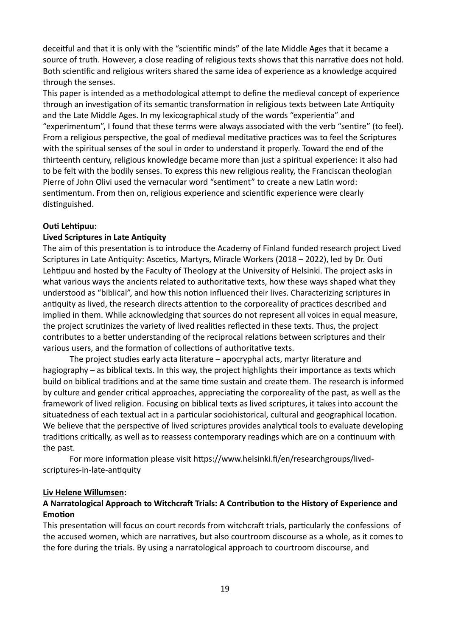deceitful and that it is only with the "scientific minds" of the late Middle Ages that it became a source of truth. However, a close reading of religious texts shows that this narrative does not hold. Both scientific and religious writers shared the same idea of experience as a knowledge acquired through the senses.

This paper is intended as a methodological attempt to define the medieval concept of experience through an investigation of its semantic transformation in religious texts between Late Antiquity and the Late Middle Ages. In my lexicographical study of the words "experientia" and "experimentum", I found that these terms were always associated with the verb "sentire" (to feel). From a religious perspective, the goal of medieval meditative practices was to feel the Scriptures with the spiritual senses of the soul in order to understand it properly. Toward the end of the thirteenth century, religious knowledge became more than just a spiritual experience: it also had to be felt with the bodily senses. To express this new religious reality, the Franciscan theologian Pierre of John Olivi used the vernacular word "sentiment" to create a new Latin word: sentimentum. From then on, religious experience and scientific experience were clearly distinguished.

### **Outi Lehtipuu:**

### **Lived Scriptures in Late Antiquity**

The aim of this presentation is to introduce the Academy of Finland funded research project Lived Scriptures in Late Antiquity: Ascetics, Martyrs, Miracle Workers (2018 – 2022), led by Dr. Outi Lehtipuu and hosted by the Faculty of Theology at the University of Helsinki. The project asks in what various ways the ancients related to authoritative texts, how these ways shaped what they understood as "biblical", and how this notion influenced their lives. Characterizing scriptures in antiquity as lived, the research directs attention to the corporeality of practices described and implied in them. While acknowledging that sources do not represent all voices in equal measure, the project scrutinizes the variety of lived realities reflected in these texts. Thus, the project contributes to a better understanding of the reciprocal relations between scriptures and their various users, and the formation of collections of authoritative texts.

The project studies early acta literature – apocryphal acts, martyr literature and hagiography – as biblical texts. In this way, the project highlights their importance as texts which build on biblical traditions and at the same time sustain and create them. The research is informed by culture and gender critical approaches, appreciating the corporeality of the past, as well as the framework of lived religion. Focusing on biblical texts as lived scriptures, it takes into account the situatedness of each textual act in a particular sociohistorical, cultural and geographical location. We believe that the perspective of lived scriptures provides analytical tools to evaluate developing traditions critically, as well as to reassess contemporary readings which are on a continuum with the past.

For more information please visit https://www.helsinki.fi/en/researchgroups/livedscriptures-in-late-antiquity

### **Liv Helene Willumsen:**

### **A Narratological Approach to Witchcraft Trials: A Contribution to the History of Experience and Emotion**

This presentation will focus on court records from witchcraft trials, particularly the confessions of the accused women, which are narratives, but also courtroom discourse as a whole, as it comes to the fore during the trials. By using a narratological approach to courtroom discourse, and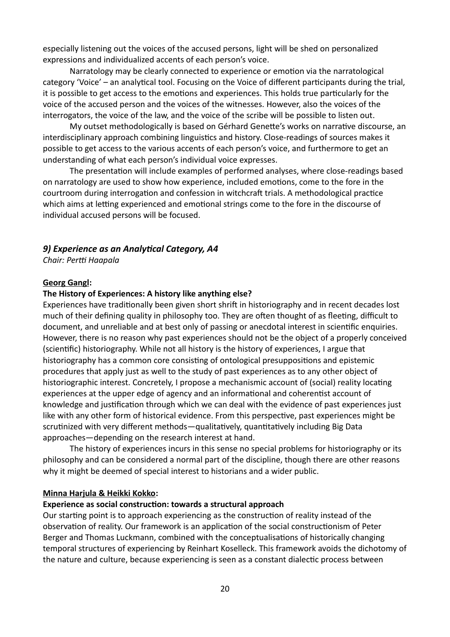especially listening out the voices of the accused persons, light will be shed on personalized expressions and individualized accents of each person's voice.

Narratology may be clearly connected to experience or emotion via the narratological category 'Voice' – an analytical tool. Focusing on the Voice of different participants during the trial, it is possible to get access to the emotions and experiences. This holds true particularly for the voice of the accused person and the voices of the witnesses. However, also the voices of the interrogators, the voice of the law, and the voice of the scribe will be possible to listen out.

My outset methodologically is based on Gérhard Genette's works on narrative discourse, an interdisciplinary approach combining linguistics and history. Close-readings of sources makes it possible to get access to the various accents of each person's voice, and furthermore to get an understanding of what each person's individual voice expresses.

The presentation will include examples of performed analyses, where close-readings based on narratology are used to show how experience, included emotions, come to the fore in the courtroom during interrogation and confession in witchcraft trials. A methodological practice which aims at letting experienced and emotional strings come to the fore in the discourse of individual accused persons will be focused.

### *9) Experience as an Analytical Category, A4*

*Chair: Pertti Haapala*

#### **Georg Gangl:**

### **The History of Experiences: A history like anything else?**

Experiences have traditionally been given short shrift in historiography and in recent decades lost much of their defining quality in philosophy too. They are often thought of as fleeting, difficult to document, and unreliable and at best only of passing or anecdotal interest in scientific enquiries. However, there is no reason why past experiences should not be the object of a properly conceived (scientific) historiography. While not all history is the history of experiences, I argue that historiography has a common core consisting of ontological presuppositions and epistemic procedures that apply just as well to the study of past experiences as to any other object of historiographic interest. Concretely, I propose a mechanismic account of (social) reality locating experiences at the upper edge of agency and an informational and coherentist account of knowledge and justification through which we can deal with the evidence of past experiences just like with any other form of historical evidence. From this perspective, past experiences might be scrutinized with very different methods—qualitatively, quantitatively including Big Data approaches—depending on the research interest at hand.

The history of experiences incurs in this sense no special problems for historiography or its philosophy and can be considered a normal part of the discipline, though there are other reasons why it might be deemed of special interest to historians and a wider public.

### **Minna Harjula & Heikki Kokko:**

#### **Experience as social construction: towards a structural approach**

Our starting point is to approach experiencing as the construction of reality instead of the observation of reality. Our framework is an application of the social constructionism of Peter Berger and Thomas Luckmann, combined with the conceptualisations of historically changing temporal structures of experiencing by Reinhart Koselleck. This framework avoids the dichotomy of the nature and culture, because experiencing is seen as a constant dialectic process between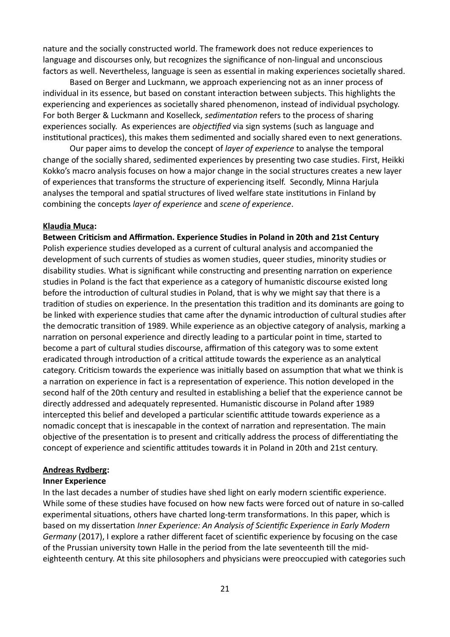nature and the socially constructed world. The framework does not reduce experiences to language and discourses only, but recognizes the significance of non-lingual and unconscious factors as well. Nevertheless, language is seen as essential in making experiences societally shared.

Based on Berger and Luckmann, we approach experiencing not as an inner process of individual in its essence, but based on constant interaction between subjects. This highlights the experiencing and experiences as societally shared phenomenon, instead of individual psychology. For both Berger & Luckmann and Koselleck, *sedimentation* refers to the process of sharing experiences socially. As experiences are *objectified* via sign systems (such as language and institutional practices), this makes them sedimented and socially shared even to next generations.

Our paper aims to develop the concept of *layer of experience* to analyse the temporal change of the socially shared, sedimented experiences by presenting two case studies. First, Heikki Kokko's macro analysis focuses on how a major change in the social structures creates a new layer of experiences that transforms the structure of experiencing itself. Secondly, Minna Harjula analyses the temporal and spatial structures of lived welfare state institutions in Finland by combining the concepts *layer of experience* and *scene of experience*.

### **Klaudia Muca:**

**Between Criticism and Affirmation. Experience Studies in Poland in 20th and 21st Century** Polish experience studies developed as a current of cultural analysis and accompanied the development of such currents of studies as women studies, queer studies, minority studies or disability studies. What is significant while constructing and presenting narration on experience studies in Poland is the fact that experience as a category of humanistic discourse existed long before the introduction of cultural studies in Poland, that is why we might say that there is a tradition of studies on experience. In the presentation this tradition and its dominants are going to be linked with experience studies that came after the dynamic introduction of cultural studies after the democratic transition of 1989. While experience as an objective category of analysis, marking a narration on personal experience and directly leading to a particular point in time, started to become a part of cultural studies discourse, affirmation of this category was to some extent eradicated through introduction of a critical attitude towards the experience as an analytical category. Criticism towards the experience was initially based on assumption that what we think is a narration on experience in fact is a representation of experience. This notion developed in the second half of the 20th century and resulted in establishing a belief that the experience cannot be directly addressed and adequately represented. Humanistic discourse in Poland after 1989 intercepted this belief and developed a particular scientific attitude towards experience as a nomadic concept that is inescapable in the context of narration and representation. The main objective of the presentation is to present and critically address the process of differentiating the concept of experience and scientific attitudes towards it in Poland in 20th and 21st century.

### **Andreas Rydberg:**

### **Inner Experience**

In the last decades a number of studies have shed light on early modern scientific experience. While some of these studies have focused on how new facts were forced out of nature in so-called experimental situations, others have charted long-term transformations. In this paper, which is based on my dissertation *Inner Experience: An Analysis of Scientific Experience in Early Modern Germany* (2017), I explore a rather different facet of scientific experience by focusing on the case of the Prussian university town Halle in the period from the late seventeenth till the mideighteenth century. At this site philosophers and physicians were preoccupied with categories such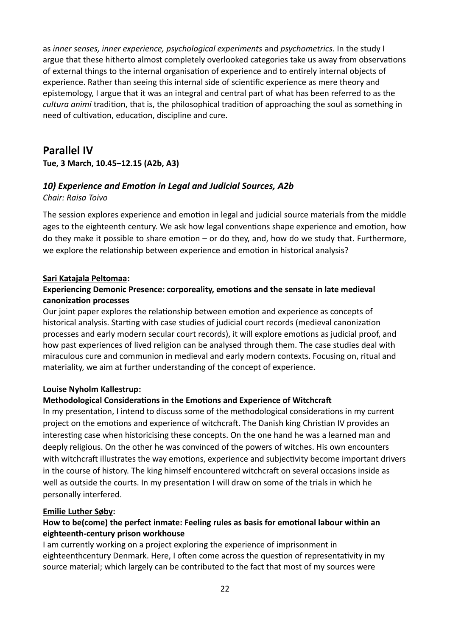as *inner senses, inner experience, psychological experiments* and *psychometrics*. In the study I argue that these hitherto almost completely overlooked categories take us away from observations of external things to the internal organisation of experience and to entirely internal objects of experience. Rather than seeing this internal side of scientific experience as mere theory and epistemology, I argue that it was an integral and central part of what has been referred to as the *cultura animi* tradition, that is, the philosophical tradition of approaching the soul as something in need of cultivation, education, discipline and cure.

# **Parallel IV**

**Tue, 3 March, 10.45–12.15 (A2b, A3)**

# *10) Experience and Emotion in Legal and Judicial Sources, A2b*

# *Chair: Raisa Toivo*

The session explores experience and emotion in legal and judicial source materials from the middle ages to the eighteenth century. We ask how legal conventions shape experience and emotion, how do they make it possible to share emotion – or do they, and, how do we study that. Furthermore, we explore the relationship between experience and emotion in historical analysis?

## **Sari Katajala Peltomaa:**

# **Experiencing Demonic Presence: corporeality, emotions and the sensate in late medieval canonization processes**

Our joint paper explores the relationship between emotion and experience as concepts of historical analysis. Starting with case studies of judicial court records (medieval canonization processes and early modern secular court records), it will explore emotions as judicial proof, and how past experiences of lived religion can be analysed through them. The case studies deal with miraculous cure and communion in medieval and early modern contexts. Focusing on, ritual and materiality, we aim at further understanding of the concept of experience.

### **Louise Nyholm Kallestrup:**

# **Methodological Considerations in the Emotions and Experience of Witchcraft**

In my presentation, I intend to discuss some of the methodological considerations in my current project on the emotions and experience of witchcraft. The Danish king Christian IV provides an interesting case when historicising these concepts. On the one hand he was a learned man and deeply religious. On the other he was convinced of the powers of witches. His own encounters with witchcraft illustrates the way emotions, experience and subjectivity become important drivers in the course of history. The king himself encountered witchcraft on several occasions inside as well as outside the courts. In my presentation I will draw on some of the trials in which he personally interfered.

# **Emilie Luther Søby:**

# **How to be(come) the perfect inmate: Feeling rules as basis for emotional labour within an eighteenth-century prison workhouse**

I am currently working on a project exploring the experience of imprisonment in eighteenthcentury Denmark. Here, I often come across the question of representativity in my source material; which largely can be contributed to the fact that most of my sources were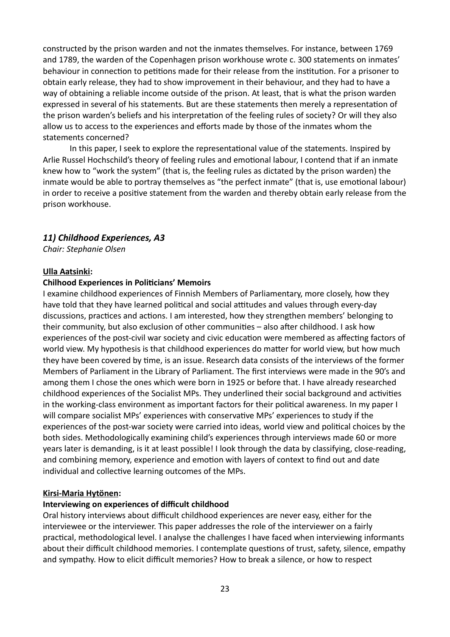constructed by the prison warden and not the inmates themselves. For instance, between 1769 and 1789, the warden of the Copenhagen prison workhouse wrote c. 300 statements on inmates' behaviour in connection to petitions made for their release from the institution. For a prisoner to obtain early release, they had to show improvement in their behaviour, and they had to have a way of obtaining a reliable income outside of the prison. At least, that is what the prison warden expressed in several of his statements. But are these statements then merely a representation of the prison warden's beliefs and his interpretation of the feeling rules of society? Or will they also allow us to access to the experiences and efforts made by those of the inmates whom the statements concerned?

In this paper, I seek to explore the representational value of the statements. Inspired by Arlie Russel Hochschild's theory of feeling rules and emotional labour, I contend that if an inmate knew how to "work the system" (that is, the feeling rules as dictated by the prison warden) the inmate would be able to portray themselves as "the perfect inmate" (that is, use emotional labour) in order to receive a positive statement from the warden and thereby obtain early release from the prison workhouse.

### *11) Childhood Experiences, A3*

*Chair: Stephanie Olsen*

#### **Ulla Aatsinki:**

#### **Chilhood Experiences in Politicians' Memoirs**

I examine childhood experiences of Finnish Members of Parliamentary, more closely, how they have told that they have learned political and social attitudes and values through every-day discussions, practices and actions. I am interested, how they strengthen members' belonging to their community, but also exclusion of other communities – also after childhood. I ask how experiences of the post-civil war society and civic education were membered as affecting factors of world view. My hypothesis is that childhood experiences do matter for world view, but how much they have been covered by time, is an issue. Research data consists of the interviews of the former Members of Parliament in the Library of Parliament. The first interviews were made in the 90's and among them I chose the ones which were born in 1925 or before that. I have already researched childhood experiences of the Socialist MPs. They underlined their social background and activities in the working-class environment as important factors for their political awareness. In my paper I will compare socialist MPs' experiences with conservative MPs' experiences to study if the experiences of the post-war society were carried into ideas, world view and political choices by the both sides. Methodologically examining child's experiences through interviews made 60 or more years later is demanding, is it at least possible! I look through the data by classifying, close-reading, and combining memory, experience and emotion with layers of context to find out and date individual and collective learning outcomes of the MPs.

#### **Kirsi-Maria Hytönen:**

#### **Interviewing on experiences of difficult childhood**

Oral history interviews about difficult childhood experiences are never easy, either for the interviewee or the interviewer. This paper addresses the role of the interviewer on a fairly practical, methodological level. I analyse the challenges I have faced when interviewing informants about their difficult childhood memories. I contemplate questions of trust, safety, silence, empathy and sympathy. How to elicit difficult memories? How to break a silence, or how to respect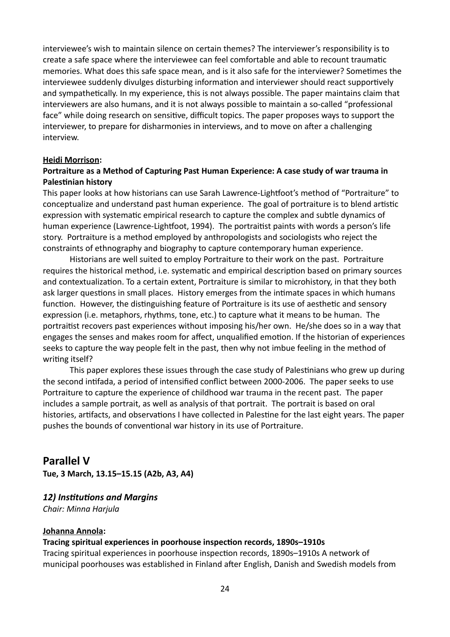interviewee's wish to maintain silence on certain themes? The interviewer's responsibility is to create a safe space where the interviewee can feel comfortable and able to recount traumatic memories. What does this safe space mean, and is it also safe for the interviewer? Sometimes the interviewee suddenly divulges disturbing information and interviewer should react supportively and sympathetically. In my experience, this is not always possible. The paper maintains claim that interviewers are also humans, and it is not always possible to maintain a so-called "professional face" while doing research on sensitive, difficult topics. The paper proposes ways to support the interviewer, to prepare for disharmonies in interviews, and to move on after a challenging interview.

#### **Heidi Morrison:**

### **Portraiture as a Method of Capturing Past Human Experience: A case study of war trauma in Palestinian history**

This paper looks at how historians can use Sarah Lawrence-Lightfoot's method of "Portraiture" to conceptualize and understand past human experience. The goal of portraiture is to blend artistic expression with systematic empirical research to capture the complex and subtle dynamics of human experience (Lawrence-Lightfoot, 1994). The portraitist paints with words a person's life story. Portraiture is a method employed by anthropologists and sociologists who reject the constraints of ethnography and biography to capture contemporary human experience.

Historians are well suited to employ Portraiture to their work on the past. Portraiture requires the historical method, i.e. systematic and empirical description based on primary sources and contextualization. To a certain extent, Portraiture is similar to microhistory, in that they both ask larger questions in small places. History emerges from the intimate spaces in which humans function. However, the distinguishing feature of Portraiture is its use of aesthetic and sensory expression (i.e. metaphors, rhythms, tone, etc.) to capture what it means to be human. The portraitist recovers past experiences without imposing his/her own. He/she does so in a way that engages the senses and makes room for affect, unqualified emotion. If the historian of experiences seeks to capture the way people felt in the past, then why not imbue feeling in the method of writing itself?

This paper explores these issues through the case study of Palestinians who grew up during the second intifada, a period of intensified conflict between 2000-2006. The paper seeks to use Portraiture to capture the experience of childhood war trauma in the recent past. The paper includes a sample portrait, as well as analysis of that portrait. The portrait is based on oral histories, artifacts, and observations I have collected in Palestine for the last eight years. The paper pushes the bounds of conventional war history in its use of Portraiture.

# **Parallel V**

**Tue, 3 March, 13.15–15.15 (A2b, A3, A4)**

# *12) Institutions and Margins*

*Chair: Minna Harjula*

### **Johanna Annola:**

### **Tracing spiritual experiences in poorhouse inspection records, 1890s–1910s**

Tracing spiritual experiences in poorhouse inspection records, 1890s–1910s A network of municipal poorhouses was established in Finland after English, Danish and Swedish models from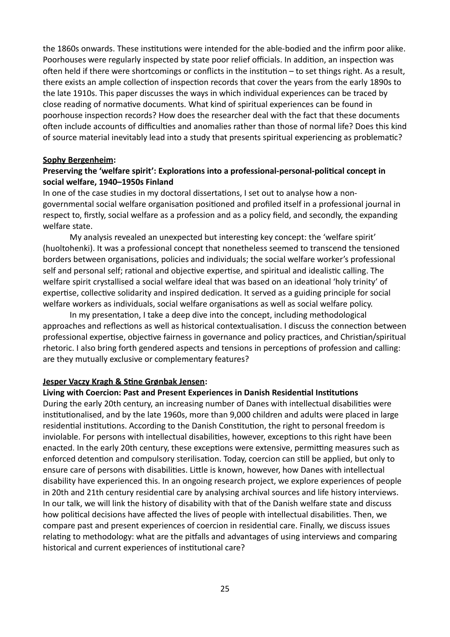the 1860s onwards. These institutions were intended for the able-bodied and the infirm poor alike. Poorhouses were regularly inspected by state poor relief officials. In addition, an inspection was often held if there were shortcomings or conflicts in the institution – to set things right. As a result, there exists an ample collection of inspection records that cover the years from the early 1890s to the late 1910s. This paper discusses the ways in which individual experiences can be traced by close reading of normative documents. What kind of spiritual experiences can be found in poorhouse inspection records? How does the researcher deal with the fact that these documents often include accounts of difficulties and anomalies rather than those of normal life? Does this kind of source material inevitably lead into a study that presents spiritual experiencing as problematic?

### **Sophy Bergenheim:**

# **Preserving the 'welfare spirit': Explorations into a professional-personal-political concept in social welfare, 1940–1950s Finland**

In one of the case studies in my doctoral dissertations, I set out to analyse how a nongovernmental social welfare organisation positioned and profiled itself in a professional journal in respect to, firstly, social welfare as a profession and as a policy field, and secondly, the expanding welfare state.

My analysis revealed an unexpected but interesting key concept: the 'welfare spirit' (huoltohenki). It was a professional concept that nonetheless seemed to transcend the tensioned borders between organisations, policies and individuals; the social welfare worker's professional self and personal self; rational and objective expertise, and spiritual and idealistic calling. The welfare spirit crystallised a social welfare ideal that was based on an ideational 'holy trinity' of expertise, collective solidarity and inspired dedication. It served as a guiding principle for social welfare workers as individuals, social welfare organisations as well as social welfare policy.

In my presentation, I take a deep dive into the concept, including methodological approaches and reflections as well as historical contextualisation. I discuss the connection between professional expertise, objective fairness in governance and policy practices, and Christian/spiritual rhetoric. I also bring forth gendered aspects and tensions in perceptions of profession and calling: are they mutually exclusive or complementary features?

### **Jesper Vaczy Kragh & Stine Grønbak Jensen:**

### **Living with Coercion: Past and Present Experiences in Danish Residential Institutions**

During the early 20th century, an increasing number of Danes with intellectual disabilities were institutionalised, and by the late 1960s, more than 9,000 children and adults were placed in large residential institutions. According to the Danish Constitution, the right to personal freedom is inviolable. For persons with intellectual disabilities, however, exceptions to this right have been enacted. In the early 20th century, these exceptions were extensive, permitting measures such as enforced detention and compulsory sterilisation. Today, coercion can still be applied, but only to ensure care of persons with disabilities. Little is known, however, how Danes with intellectual disability have experienced this. In an ongoing research project, we explore experiences of people in 20th and 21th century residential care by analysing archival sources and life history interviews. In our talk, we will link the history of disability with that of the Danish welfare state and discuss how political decisions have affected the lives of people with intellectual disabilities. Then, we compare past and present experiences of coercion in residential care. Finally, we discuss issues relating to methodology: what are the pitfalls and advantages of using interviews and comparing historical and current experiences of institutional care?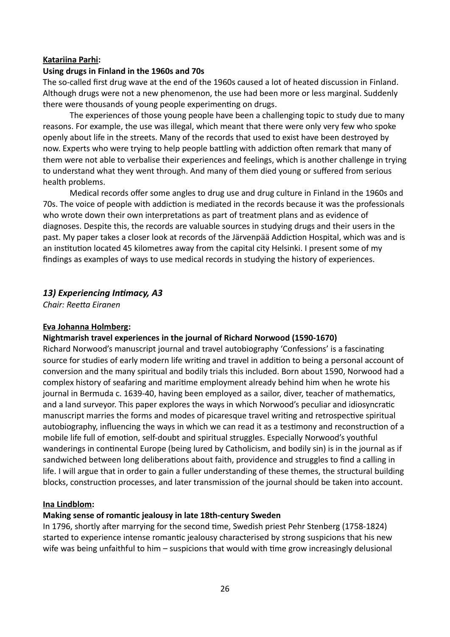### **Katariina Parhi:**

### **Using drugs in Finland in the 1960s and 70s**

The so-called first drug wave at the end of the 1960s caused a lot of heated discussion in Finland. Although drugs were not a new phenomenon, the use had been more or less marginal. Suddenly there were thousands of young people experimenting on drugs.

The experiences of those young people have been a challenging topic to study due to many reasons. For example, the use was illegal, which meant that there were only very few who spoke openly about life in the streets. Many of the records that used to exist have been destroyed by now. Experts who were trying to help people battling with addiction often remark that many of them were not able to verbalise their experiences and feelings, which is another challenge in trying to understand what they went through. And many of them died young or suffered from serious health problems.

Medical records offer some angles to drug use and drug culture in Finland in the 1960s and 70s. The voice of people with addiction is mediated in the records because it was the professionals who wrote down their own interpretations as part of treatment plans and as evidence of diagnoses. Despite this, the records are valuable sources in studying drugs and their users in the past. My paper takes a closer look at records of the Järvenpää Addiction Hospital, which was and is an institution located 45 kilometres away from the capital city Helsinki. I present some of my findings as examples of ways to use medical records in studying the history of experiences.

### *13) Experiencing Intimacy, A3*

*Chair: Reetta Eiranen*

### **Eva Johanna Holmberg:**

### **Nightmarish travel experiences in the journal of Richard Norwood (1590-1670)**

Richard Norwood's manuscript journal and travel autobiography 'Confessions' is a fascinating source for studies of early modern life writing and travel in addition to being a personal account of conversion and the many spiritual and bodily trials this included. Born about 1590, Norwood had a complex history of seafaring and maritime employment already behind him when he wrote his journal in Bermuda c. 1639-40, having been employed as a sailor, diver, teacher of mathematics, and a land surveyor. This paper explores the ways in which Norwood's peculiar and idiosyncratic manuscript marries the forms and modes of picaresque travel writing and retrospective spiritual autobiography, influencing the ways in which we can read it as a testimony and reconstruction of a mobile life full of emotion, self-doubt and spiritual struggles. Especially Norwood's youthful wanderings in continental Europe (being lured by Catholicism, and bodily sin) is in the journal as if sandwiched between long deliberations about faith, providence and struggles to find a calling in life. I will argue that in order to gain a fuller understanding of these themes, the structural building blocks, construction processes, and later transmission of the journal should be taken into account.

### **Ina Lindblom:**

### **Making sense of romantic jealousy in late 18th-century Sweden**

In 1796, shortly after marrying for the second time, Swedish priest Pehr Stenberg (1758-1824) started to experience intense romantic jealousy characterised by strong suspicions that his new wife was being unfaithful to him – suspicions that would with time grow increasingly delusional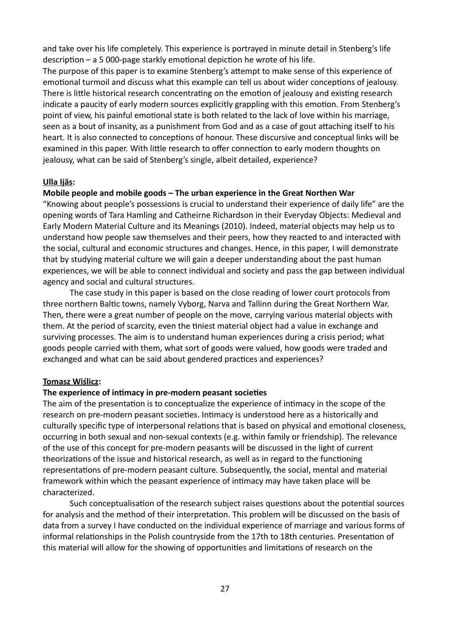and take over his life completely. This experience is portrayed in minute detail in Stenberg's life description – a 5 000-page starkly emotional depiction he wrote of his life.

The purpose of this paper is to examine Stenberg's attempt to make sense of this experience of emotional turmoil and discuss what this example can tell us about wider conceptions of jealousy. There is little historical research concentrating on the emotion of jealousy and existing research indicate a paucity of early modern sources explicitly grappling with this emotion. From Stenberg's point of view, his painful emotional state is both related to the lack of love within his marriage, seen as a bout of insanity, as a punishment from God and as a case of gout attaching itself to his heart. It is also connected to conceptions of honour. These discursive and conceptual links will be examined in this paper. With little research to offer connection to early modern thoughts on jealousy, what can be said of Stenberg's single, albeit detailed, experience?

### **Ulla Ijäs:**

### **Mobile people and mobile goods – The urban experience in the Great Northen War**

"Knowing about people's possessions is crucial to understand their experience of daily life" are the opening words of Tara Hamling and Catheirne Richardson in their Everyday Objects: Medieval and Early Modern Material Culture and its Meanings (2010). Indeed, material objects may help us to understand how people saw themselves and their peers, how they reacted to and interacted with the social, cultural and economic structures and changes. Hence, in this paper, I will demonstrate that by studying material culture we will gain a deeper understanding about the past human experiences, we will be able to connect individual and society and pass the gap between individual agency and social and cultural structures.

The case study in this paper is based on the close reading of lower court protocols from three northern Baltic towns, namely Vyborg, Narva and Tallinn during the Great Northern War. Then, there were a great number of people on the move, carrying various material objects with them. At the period of scarcity, even the tiniest material object had a value in exchange and surviving processes. The aim is to understand human experiences during a crisis period; what goods people carried with them, what sort of goods were valued, how goods were traded and exchanged and what can be said about gendered practices and experiences?

### **Tomasz Wiślicz:**

### **The experience of intimacy in pre-modern peasant societies**

The aim of the presentation is to conceptualize the experience of intimacy in the scope of the research on pre-modern peasant societies. Intimacy is understood here as a historically and culturally specific type of interpersonal relations that is based on physical and emotional closeness, occurring in both sexual and non-sexual contexts (e.g. within family or friendship). The relevance of the use of this concept for pre-modern peasants will be discussed in the light of current theorizations of the issue and historical research, as well as in regard to the functioning representations of pre-modern peasant culture. Subsequently, the social, mental and material framework within which the peasant experience of intimacy may have taken place will be characterized.

Such conceptualisation of the research subject raises questions about the potential sources for analysis and the method of their interpretation. This problem will be discussed on the basis of data from a survey I have conducted on the individual experience of marriage and various forms of informal relationships in the Polish countryside from the 17th to 18th centuries. Presentation of this material will allow for the showing of opportunities and limitations of research on the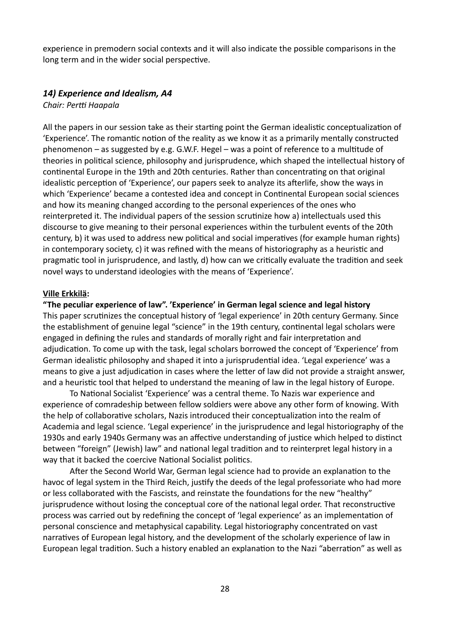experience in premodern social contexts and it will also indicate the possible comparisons in the long term and in the wider social perspective.

### *14) Experience and Idealism, A4*

*Chair: Pertti Haapala*

All the papers in our session take as their starting point the German idealistic conceptualization of 'Experience'. The romantic notion of the reality as we know it as a primarily mentally constructed phenomenon – as suggested by e.g. G.W.F. Hegel – was a point of reference to a multitude of theories in political science, philosophy and jurisprudence, which shaped the intellectual history of continental Europe in the 19th and 20th centuries. Rather than concentrating on that original idealistic perception of 'Experience', our papers seek to analyze its afterlife, show the ways in which 'Experience' became a contested idea and concept in Continental European social sciences and how its meaning changed according to the personal experiences of the ones who reinterpreted it. The individual papers of the session scrutinize how a) intellectuals used this discourse to give meaning to their personal experiences within the turbulent events of the 20th century, b) it was used to address new political and social imperatives (for example human rights) in contemporary society, c) it was refined with the means of historiography as a heuristic and pragmatic tool in jurisprudence, and lastly, d) how can we critically evaluate the tradition and seek novel ways to understand ideologies with the means of 'Experience'.

### **Ville Erkkilä:**

**"The peculiar experience of law". 'Experience' in German legal science and legal history**

This paper scrutinizes the conceptual history of 'legal experience' in 20th century Germany. Since the establishment of genuine legal "science" in the 19th century, continental legal scholars were engaged in defining the rules and standards of morally right and fair interpretation and adjudication. To come up with the task, legal scholars borrowed the concept of 'Experience' from German idealistic philosophy and shaped it into a jurisprudential idea. 'Legal experience' was a means to give a just adjudication in cases where the letter of law did not provide a straight answer, and a heuristic tool that helped to understand the meaning of law in the legal history of Europe.

To National Socialist 'Experience' was a central theme. To Nazis war experience and experience of comradeship between fellow soldiers were above any other form of knowing. With the help of collaborative scholars, Nazis introduced their conceptualization into the realm of Academia and legal science. 'Legal experience' in the jurisprudence and legal historiography of the 1930s and early 1940s Germany was an affective understanding of justice which helped to distinct between "foreign" (Jewish) law" and national legal tradition and to reinterpret legal history in a way that it backed the coercive National Socialist politics.

After the Second World War, German legal science had to provide an explanation to the havoc of legal system in the Third Reich, justify the deeds of the legal professoriate who had more or less collaborated with the Fascists, and reinstate the foundations for the new "healthy" jurisprudence without losing the conceptual core of the national legal order. That reconstructive process was carried out by redefining the concept of 'legal experience' as an implementation of personal conscience and metaphysical capability. Legal historiography concentrated on vast narratives of European legal history, and the development of the scholarly experience of law in European legal tradition. Such a history enabled an explanation to the Nazi "aberration" as well as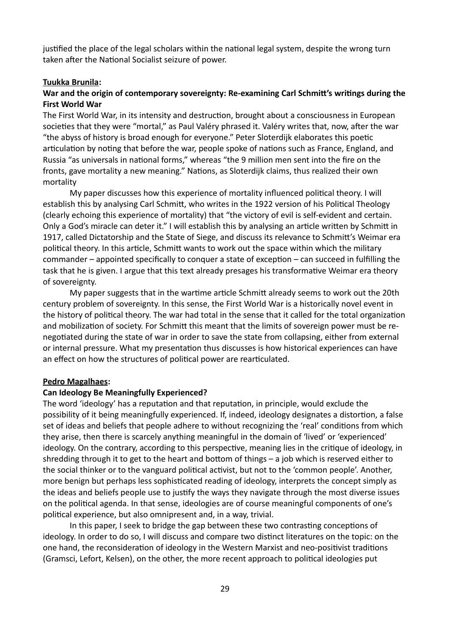justified the place of the legal scholars within the national legal system, despite the wrong turn taken after the National Socialist seizure of power.

### **Tuukka Brunila:**

### **War and the origin of contemporary sovereignty: Re-examining Carl Schmitt's writings during the First World War**

The First World War, in its intensity and destruction, brought about a consciousness in European societies that they were "mortal," as Paul Valéry phrased it. Valéry writes that, now, after the war "the abyss of history is broad enough for everyone." Peter Sloterdijk elaborates this poetic articulation by noting that before the war, people spoke of nations such as France, England, and Russia "as universals in national forms," whereas "the 9 million men sent into the fire on the fronts, gave mortality a new meaning." Nations, as Sloterdijk claims, thus realized their own mortality

My paper discusses how this experience of mortality influenced political theory. I will establish this by analysing Carl Schmitt, who writes in the 1922 version of his Political Theology (clearly echoing this experience of mortality) that "the victory of evil is self-evident and certain. Only a God's miracle can deter it." I will establish this by analysing an article written by Schmitt in 1917, called Dictatorship and the State of Siege, and discuss its relevance to Schmitt's Weimar era political theory. In this article, Schmitt wants to work out the space within which the military commander – appointed specifically to conquer a state of exception – can succeed in fulfilling the task that he is given. I argue that this text already presages his transformative Weimar era theory of sovereignty.

My paper suggests that in the wartime article Schmitt already seems to work out the 20th century problem of sovereignty. In this sense, the First World War is a historically novel event in the history of political theory. The war had total in the sense that it called for the total organization and mobilization of society. For Schmitt this meant that the limits of sovereign power must be renegotiated during the state of war in order to save the state from collapsing, either from external or internal pressure. What my presentation thus discusses is how historical experiences can have an effect on how the structures of political power are rearticulated.

#### **Pedro Magalhaes:**

#### **Can Ideology Be Meaningfully Experienced?**

The word 'ideology' has a reputation and that reputation, in principle, would exclude the possibility of it being meaningfully experienced. If, indeed, ideology designates a distortion, a false set of ideas and beliefs that people adhere to without recognizing the 'real' conditions from which they arise, then there is scarcely anything meaningful in the domain of 'lived' or 'experienced' ideology. On the contrary, according to this perspective, meaning lies in the critique of ideology, in shredding through it to get to the heart and bottom of things – a job which is reserved either to the social thinker or to the vanguard political activist, but not to the 'common people'. Another, more benign but perhaps less sophisticated reading of ideology, interprets the concept simply as the ideas and beliefs people use to justify the ways they navigate through the most diverse issues on the political agenda. In that sense, ideologies are of course meaningful components of one's political experience, but also omnipresent and, in a way, trivial.

In this paper, I seek to bridge the gap between these two contrasting conceptions of ideology. In order to do so, I will discuss and compare two distinct literatures on the topic: on the one hand, the reconsideration of ideology in the Western Marxist and neo-positivist traditions (Gramsci, Lefort, Kelsen), on the other, the more recent approach to political ideologies put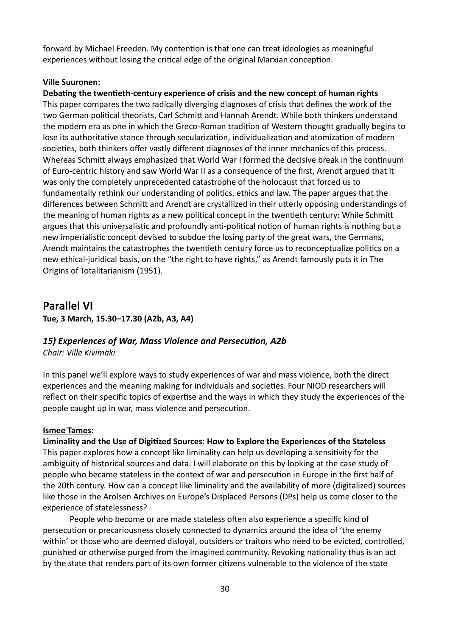forward by Michael Freeden. My contention is that one can treat ideologies as meaningful experiences without losing the critical edge of the original Marxian conception.

### **Ville Suuronen:**

**Debating the twentieth-century experience of crisis and the new concept of human rights** This paper compares the two radically diverging diagnoses of crisis that defines the work of the two German political theorists, Carl Schmitt and Hannah Arendt. While both thinkers understand the modern era as one in which the Greco-Roman tradition of Western thought gradually begins to lose its authoritative stance through secularization, individualization and atomization of modern societies, both thinkers offer vastly different diagnoses of the inner mechanics of this process. Whereas Schmitt always emphasized that World War I formed the decisive break in the continuum of Euro-centric history and saw World War II as a consequence of the first, Arendt argued that it was only the completely unprecedented catastrophe of the holocaust that forced us to fundamentally rethink our understanding of politics, ethics and law. The paper argues that the differences between Schmitt and Arendt are crystallized in their utterly opposing understandings of the meaning of human rights as a new political concept in the twentieth century: While Schmitt argues that this universalistic and profoundly anti-political notion of human rights is nothing but a new imperialistic concept devised to subdue the losing party of the great wars, the Germans, Arendt maintains the catastrophes the twentieth century force us to reconceptualize politics on a new ethical-juridical basis, on the "the right to have rights," as Arendt famously puts it in The Origins of Totalitarianism (1951).

# **Parallel VI Tue, 3 March, 15.30–17.30 (A2b, A3, A4)**

### *15) Experiences of War, Mass Violence and Persecution, A2b Chair: Ville Kivimäki*

In this panel we'll explore ways to study experiences of war and mass violence, both the direct experiences and the meaning making for individuals and societies. Four NIOD researchers will reflect on their specific topics of expertise and the ways in which they study the experiences of the people caught up in war, mass violence and persecution.

### **Ismee Tames:**

**Liminality and the Use of Digitized Sources: How to Explore the Experiences of the Stateless** This paper explores how a concept like liminality can help us developing a sensitivity for the ambiguity of historical sources and data. I will elaborate on this by looking at the case study of people who became stateless in the context of war and persecution in Europe in the first half of the 20th century. How can a concept like liminality and the availability of more (digitalized) sources like those in the Arolsen Archives on Europe's Displaced Persons (DPs) help us come closer to the experience of statelessness?

People who become or are made stateless often also experience a specific kind of persecution or precariousness closely connected to dynamics around the idea of 'the enemy within' or those who are deemed disloyal, outsiders or traitors who need to be evicted, controlled, punished or otherwise purged from the imagined community. Revoking nationality thus is an act by the state that renders part of its own former citizens vulnerable to the violence of the state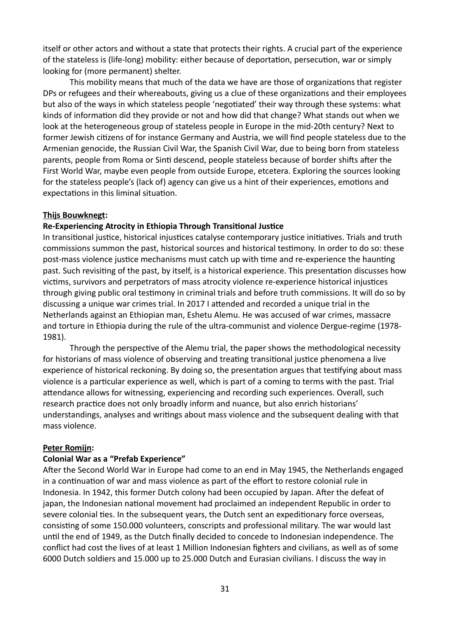itself or other actors and without a state that protects their rights. A crucial part of the experience of the stateless is (life-long) mobility: either because of deportation, persecution, war or simply looking for (more permanent) shelter.

This mobility means that much of the data we have are those of organizations that register DPs or refugees and their whereabouts, giving us a clue of these organizations and their employees but also of the ways in which stateless people 'negotiated' their way through these systems: what kinds of information did they provide or not and how did that change? What stands out when we look at the heterogeneous group of stateless people in Europe in the mid-20th century? Next to former Jewish citizens of for instance Germany and Austria, we will find people stateless due to the Armenian genocide, the Russian Civil War, the Spanish Civil War, due to being born from stateless parents, people from Roma or Sinti descend, people stateless because of border shifts after the First World War, maybe even people from outside Europe, etcetera. Exploring the sources looking for the stateless people's (lack of) agency can give us a hint of their experiences, emotions and expectations in this liminal situation.

#### **Thijs Bouwknegt:**

#### **Re-Experiencing Atrocity in Ethiopia Through Transitional Justice**

In transitional justice, historical injustices catalyse contemporary justice initiatives. Trials and truth commissions summon the past, historical sources and historical testimony. In order to do so: these post-mass violence justice mechanisms must catch up with time and re-experience the haunting past. Such revisiting of the past, by itself, is a historical experience. This presentation discusses how victims, survivors and perpetrators of mass atrocity violence re-experience historical injustices through giving public oral testimony in criminal trials and before truth commissions. It will do so by discussing a unique war crimes trial. In 2017 I attended and recorded a unique trial in the Netherlands against an Ethiopian man, Eshetu Alemu. He was accused of war crimes, massacre and torture in Ethiopia during the rule of the ultra-communist and violence Dergue-regime (1978- 1981).

Through the perspective of the Alemu trial, the paper shows the methodological necessity for historians of mass violence of observing and treating transitional justice phenomena a live experience of historical reckoning. By doing so, the presentation argues that testifying about mass violence is a particular experience as well, which is part of a coming to terms with the past. Trial attendance allows for witnessing, experiencing and recording such experiences. Overall, such research practice does not only broadly inform and nuance, but also enrich historians' understandings, analyses and writings about mass violence and the subsequent dealing with that mass violence.

#### **Peter Romijn:**

### **Colonial War as a "Prefab Experience"**

After the Second World War in Europe had come to an end in May 1945, the Netherlands engaged in a continuation of war and mass violence as part of the effort to restore colonial rule in Indonesia. In 1942, this former Dutch colony had been occupied by Japan. After the defeat of japan, the Indonesian national movement had proclaimed an independent Republic in order to severe colonial ties. In the subsequent years, the Dutch sent an expeditionary force overseas, consisting of some 150.000 volunteers, conscripts and professional military. The war would last until the end of 1949, as the Dutch finally decided to concede to Indonesian independence. The conflict had cost the lives of at least 1 Million Indonesian fighters and civilians, as well as of some 6000 Dutch soldiers and 15.000 up to 25.000 Dutch and Eurasian civilians. I discuss the way in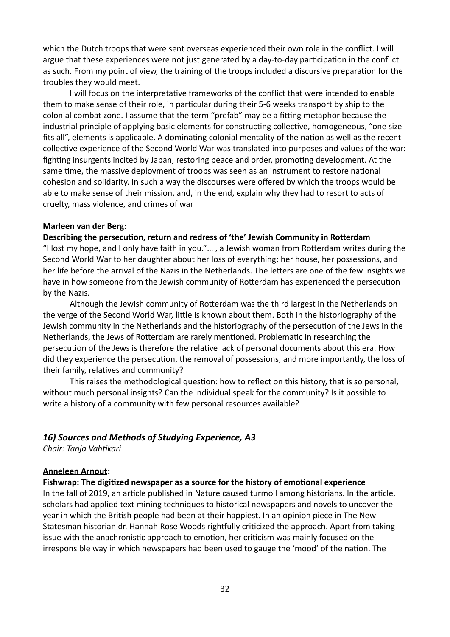which the Dutch troops that were sent overseas experienced their own role in the conflict. I will argue that these experiences were not just generated by a day-to-day participation in the conflict as such. From my point of view, the training of the troops included a discursive preparation for the troubles they would meet.

I will focus on the interpretative frameworks of the conflict that were intended to enable them to make sense of their role, in particular during their 5-6 weeks transport by ship to the colonial combat zone. I assume that the term "prefab" may be a fitting metaphor because the industrial principle of applying basic elements for constructing collective, homogeneous, "one size fits all", elements is applicable. A dominating colonial mentality of the nation as well as the recent collective experience of the Second World War was translated into purposes and values of the war: fighting insurgents incited by Japan, restoring peace and order, promoting development. At the same time, the massive deployment of troops was seen as an instrument to restore national cohesion and solidarity. In such a way the discourses were offered by which the troops would be able to make sense of their mission, and, in the end, explain why they had to resort to acts of cruelty, mass violence, and crimes of war

#### **Marleen van der Berg:**

#### **Describing the persecution, return and redress of 'the' Jewish Community in Rotterdam**

"I lost my hope, and I only have faith in you."… , a Jewish woman from Rotterdam writes during the Second World War to her daughter about her loss of everything; her house, her possessions, and her life before the arrival of the Nazis in the Netherlands. The letters are one of the few insights we have in how someone from the Jewish community of Rotterdam has experienced the persecution by the Nazis.

Although the Jewish community of Rotterdam was the third largest in the Netherlands on the verge of the Second World War, little is known about them. Both in the historiography of the Jewish community in the Netherlands and the historiography of the persecution of the Jews in the Netherlands, the Jews of Rotterdam are rarely mentioned. Problematic in researching the persecution of the Jews is therefore the relative lack of personal documents about this era. How did they experience the persecution, the removal of possessions, and more importantly, the loss of their family, relatives and community?

This raises the methodological question: how to reflect on this history, that is so personal, without much personal insights? Can the individual speak for the community? Is it possible to write a history of a community with few personal resources available?

### *16) Sources and Methods of Studying Experience, A3*

*Chair: Tanja Vahtikari*

### **Anneleen Arnout:**

#### **Fishwrap: The digitized newspaper as a source for the history of emotional experience**

In the fall of 2019, an article published in Nature caused turmoil among historians. In the article, scholars had applied text mining techniques to historical newspapers and novels to uncover the year in which the British people had been at their happiest. In an opinion piece in The New Statesman historian dr. Hannah Rose Woods rightfully criticized the approach. Apart from taking issue with the anachronistic approach to emotion, her criticism was mainly focused on the irresponsible way in which newspapers had been used to gauge the 'mood' of the nation. The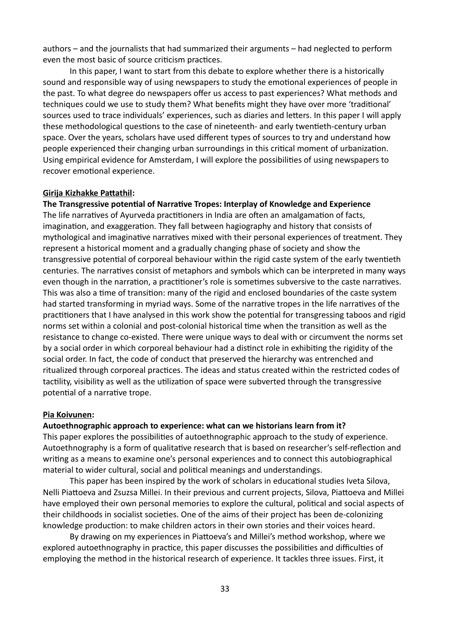authors – and the journalists that had summarized their arguments – had neglected to perform even the most basic of source criticism practices.

In this paper, I want to start from this debate to explore whether there is a historically sound and responsible way of using newspapers to study the emotional experiences of people in the past. To what degree do newspapers offer us access to past experiences? What methods and techniques could we use to study them? What benefits might they have over more 'traditional' sources used to trace individuals' experiences, such as diaries and letters. In this paper I will apply these methodological questions to the case of nineteenth- and early twentieth-century urban space. Over the years, scholars have used different types of sources to try and understand how people experienced their changing urban surroundings in this critical moment of urbanization. Using empirical evidence for Amsterdam, I will explore the possibilities of using newspapers to recover emotional experience.

#### **Girija Kizhakke Pattathil:**

### **The Transgressive potential of Narrative Tropes: Interplay of Knowledge and Experience**

The life narratives of Ayurveda practitioners in India are often an amalgamation of facts, imagination, and exaggeration. They fall between hagiography and history that consists of mythological and imaginative narratives mixed with their personal experiences of treatment. They represent a historical moment and a gradually changing phase of society and show the transgressive potential of corporeal behaviour within the rigid caste system of the early twentieth centuries. The narratives consist of metaphors and symbols which can be interpreted in many ways even though in the narration, a practitioner's role is sometimes subversive to the caste narratives. This was also a time of transition: many of the rigid and enclosed boundaries of the caste system had started transforming in myriad ways. Some of the narrative tropes in the life narratives of the practitioners that I have analysed in this work show the potential for transgressing taboos and rigid norms set within a colonial and post-colonial historical time when the transition as well as the resistance to change co-existed. There were unique ways to deal with or circumvent the norms set by a social order in which corporeal behaviour had a distinct role in exhibiting the rigidity of the social order. In fact, the code of conduct that preserved the hierarchy was entrenched and ritualized through corporeal practices. The ideas and status created within the restricted codes of tactility, visibility as well as the utilization of space were subverted through the transgressive potential of a narrative trope.

#### **Pia Koivunen:**

### **Autoethnographic approach to experience: what can we historians learn from it?**

This paper explores the possibilities of autoethnographic approach to the study of experience. Autoethnography is a form of qualitative research that is based on researcher's self-reflection and writing as a means to examine one's personal experiences and to connect this autobiographical material to wider cultural, social and political meanings and understandings.

This paper has been inspired by the work of scholars in educational studies Iveta Silova, Nelli Piattoeva and Zsuzsa Millei. In their previous and current projects, Silova, Piattoeva and Millei have employed their own personal memories to explore the cultural, political and social aspects of their childhoods in socialist societies. One of the aims of their project has been de-colonizing knowledge production: to make children actors in their own stories and their voices heard.

By drawing on my experiences in Piattoeva's and Millei's method workshop, where we explored autoethnography in practice, this paper discusses the possibilities and difficulties of employing the method in the historical research of experience. It tackles three issues. First, it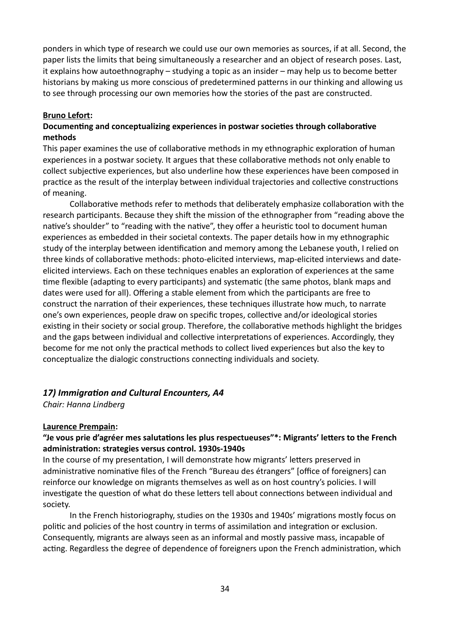ponders in which type of research we could use our own memories as sources, if at all. Second, the paper lists the limits that being simultaneously a researcher and an object of research poses. Last, it explains how autoethnography – studying a topic as an insider – may help us to become better historians by making us more conscious of predetermined patterns in our thinking and allowing us to see through processing our own memories how the stories of the past are constructed.

#### **Bruno Lefort:**

### **Documenting and conceptualizing experiences in postwar societies through collaborative methods**

This paper examines the use of collaborative methods in my ethnographic exploration of human experiences in a postwar society. It argues that these collaborative methods not only enable to collect subjective experiences, but also underline how these experiences have been composed in practice as the result of the interplay between individual trajectories and collective constructions of meaning.

Collaborative methods refer to methods that deliberately emphasize collaboration with the research participants. Because they shift the mission of the ethnographer from "reading above the native's shoulder" to "reading with the native", they offer a heuristic tool to document human experiences as embedded in their societal contexts. The paper details how in my ethnographic study of the interplay between identification and memory among the Lebanese youth, I relied on three kinds of collaborative methods: photo-elicited interviews, map-elicited interviews and dateelicited interviews. Each on these techniques enables an exploration of experiences at the same time flexible (adapting to every participants) and systematic (the same photos, blank maps and dates were used for all). Offering a stable element from which the participants are free to construct the narration of their experiences, these techniques illustrate how much, to narrate one's own experiences, people draw on specific tropes, collective and/or ideological stories existing in their society or social group. Therefore, the collaborative methods highlight the bridges and the gaps between individual and collective interpretations of experiences. Accordingly, they become for me not only the practical methods to collect lived experiences but also the key to conceptualize the dialogic constructions connecting individuals and society.

### *17) Immigration and Cultural Encounters, A4*

*Chair: Hanna Lindberg*

### **Laurence Prempain:**

# **"Je vous prie d'agréer mes salutations les plus respectueuses"\*: Migrants' letters to the French administration: strategies versus control. 1930s-1940s**

In the course of my presentation, I will demonstrate how migrants' letters preserved in administrative nominative files of the French "Bureau des étrangers" [office of foreigners] can reinforce our knowledge on migrants themselves as well as on host country's policies. I will investigate the question of what do these letters tell about connections between individual and society.

In the French historiography, studies on the 1930s and 1940s' migrations mostly focus on politic and policies of the host country in terms of assimilation and integration or exclusion. Consequently, migrants are always seen as an informal and mostly passive mass, incapable of acting. Regardless the degree of dependence of foreigners upon the French administration, which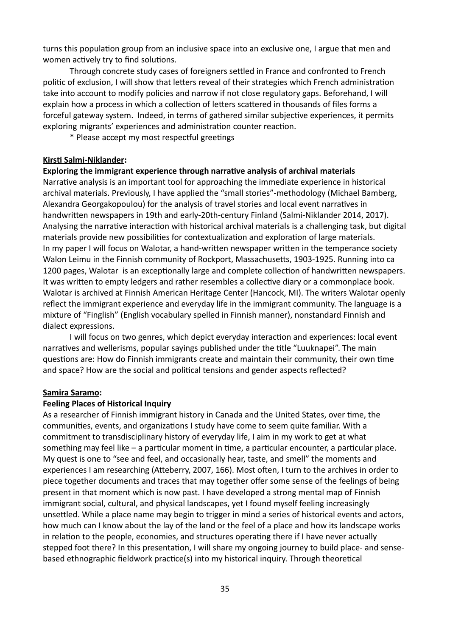turns this population group from an inclusive space into an exclusive one, I argue that men and women actively try to find solutions.

Through concrete study cases of foreigners settled in France and confronted to French politic of exclusion, I will show that letters reveal of their strategies which French administration take into account to modify policies and narrow if not close regulatory gaps. Beforehand, I will explain how a process in which a collection of letters scattered in thousands of files forms a forceful gateway system. Indeed, in terms of gathered similar subjective experiences, it permits exploring migrants' experiences and administration counter reaction.

\* Please accept my most respectful greetings

#### **Kirsti Salmi-Niklander:**

### **Exploring the immigrant experience through narrative analysis of archival materials**

Narrative analysis is an important tool for approaching the immediate experience in historical archival materials. Previously, I have applied the "small stories"-methodology (Michael Bamberg, Alexandra Georgakopoulou) for the analysis of travel stories and local event narratives in handwritten newspapers in 19th and early-20th-century Finland (Salmi-Niklander 2014, 2017). Analysing the narrative interaction with historical archival materials is a challenging task, but digital materials provide new possibilities for contextualization and exploration of large materials. In my paper I will focus on Walotar, a hand-written newspaper written in the temperance society Walon Leimu in the Finnish community of Rockport, Massachusetts, 1903-1925. Running into ca 1200 pages, Walotar is an exceptionally large and complete collection of handwritten newspapers. It was written to empty ledgers and rather resembles a collective diary or a commonplace book. Walotar is archived at Finnish American Heritage Center (Hancock, MI). The writers Walotar openly reflect the immigrant experience and everyday life in the immigrant community. The language is a mixture of "Finglish" (English vocabulary spelled in Finnish manner), nonstandard Finnish and dialect expressions.

I will focus on two genres, which depict everyday interaction and experiences: local event narratives and wellerisms, popular sayings published under the title "Luuknapei". The main questions are: How do Finnish immigrants create and maintain their community, their own time and space? How are the social and political tensions and gender aspects reflected?

#### **Samira Saramo:**

### **Feeling Places of Historical Inquiry**

As a researcher of Finnish immigrant history in Canada and the United States, over time, the communities, events, and organizations I study have come to seem quite familiar. With a commitment to transdisciplinary history of everyday life, I aim in my work to get at what something may feel like – a particular moment in time, a particular encounter, a particular place. My quest is one to "see and feel, and occasionally hear, taste, and smell" the moments and experiences I am researching (Atteberry, 2007, 166). Most often, I turn to the archives in order to piece together documents and traces that may together offer some sense of the feelings of being present in that moment which is now past. I have developed a strong mental map of Finnish immigrant social, cultural, and physical landscapes, yet I found myself feeling increasingly unsettled. While a place name may begin to trigger in mind a series of historical events and actors, how much can I know about the lay of the land or the feel of a place and how its landscape works in relation to the people, economies, and structures operating there if I have never actually stepped foot there? In this presentation, I will share my ongoing journey to build place- and sensebased ethnographic fieldwork practice(s) into my historical inquiry. Through theoretical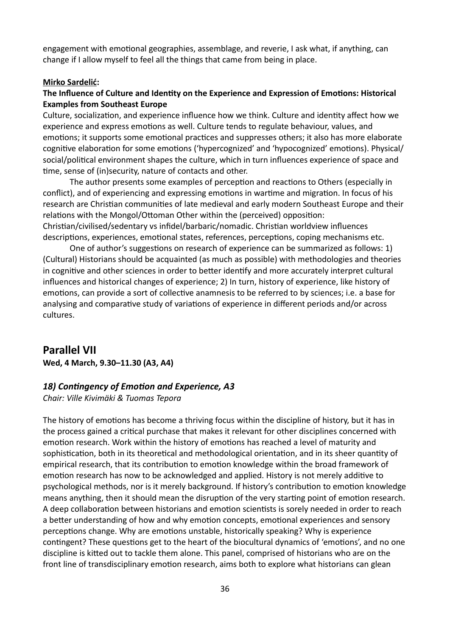engagement with emotional geographies, assemblage, and reverie, I ask what, if anything, can change if I allow myself to feel all the things that came from being in place.

### **Mirko Sardelić:**

# **The Influence of Culture and Identity on the Experience and Expression of Emotions: Historical Examples from Southeast Europe**

Culture, socialization, and experience influence how we think. Culture and identity affect how we experience and express emotions as well. Culture tends to regulate behaviour, values, and emotions; it supports some emotional practices and suppresses others; it also has more elaborate cognitive elaboration for some emotions ('hypercognized' and 'hypocognized' emotions). Physical/ social/political environment shapes the culture, which in turn influences experience of space and time, sense of (in)security, nature of contacts and other.

The author presents some examples of perception and reactions to Others (especially in conflict), and of experiencing and expressing emotions in wartime and migration. In focus of his research are Christian communities of late medieval and early modern Southeast Europe and their relations with the Mongol/Ottoman Other within the (perceived) opposition: Christian/civilised/sedentary vs infidel/barbaric/nomadic. Christian worldview influences

descriptions, experiences, emotional states, references, perceptions, coping mechanisms etc. One of author's suggestions on research of experience can be summarized as follows: 1)

(Cultural) Historians should be acquainted (as much as possible) with methodologies and theories in cognitive and other sciences in order to better identify and more accurately interpret cultural influences and historical changes of experience; 2) In turn, history of experience, like history of emotions, can provide a sort of collective anamnesis to be referred to by sciences; i.e. a base for analysing and comparative study of variations of experience in different periods and/or across cultures.

# **Parallel VII**

**Wed, 4 March, 9.30–11.30 (A3, A4)**

### *18) Contingency of Emotion and Experience, A3*

*Chair: Ville Kivimäki & Tuomas Tepora*

The history of emotions has become a thriving focus within the discipline of history, but it has in the process gained a critical purchase that makes it relevant for other disciplines concerned with emotion research. Work within the history of emotions has reached a level of maturity and sophistication, both in its theoretical and methodological orientation, and in its sheer quantity of empirical research, that its contribution to emotion knowledge within the broad framework of emotion research has now to be acknowledged and applied. History is not merely additive to psychological methods, nor is it merely background. If history's contribution to emotion knowledge means anything, then it should mean the disruption of the very starting point of emotion research. A deep collaboration between historians and emotion scientists is sorely needed in order to reach a better understanding of how and why emotion concepts, emotional experiences and sensory perceptions change. Why are emotions unstable, historically speaking? Why is experience contingent? These questions get to the heart of the biocultural dynamics of 'emotions', and no one discipline is kitted out to tackle them alone. This panel, comprised of historians who are on the front line of transdisciplinary emotion research, aims both to explore what historians can glean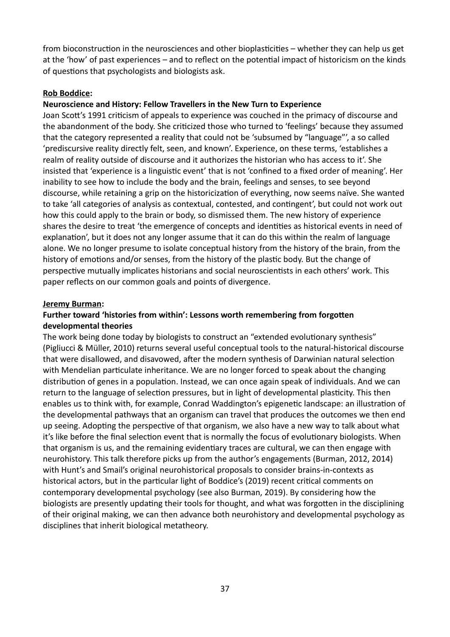from bioconstruction in the neurosciences and other bioplasticities – whether they can help us get at the 'how' of past experiences – and to reflect on the potential impact of historicism on the kinds of questions that psychologists and biologists ask.

### **Rob Boddice:**

### **Neuroscience and History: Fellow Travellers in the New Turn to Experience**

Joan Scott's 1991 criticism of appeals to experience was couched in the primacy of discourse and the abandonment of the body. She criticized those who turned to 'feelings' because they assumed that the category represented a reality that could not be 'subsumed by "language"', a so called 'prediscursive reality directly felt, seen, and known'. Experience, on these terms, 'establishes a realm of reality outside of discourse and it authorizes the historian who has access to it'. She insisted that 'experience is a linguistic event' that is not 'confined to a fixed order of meaning'. Her inability to see how to include the body and the brain, feelings and senses, to see beyond discourse, while retaining a grip on the historicization of everything, now seems naïve. She wanted to take 'all categories of analysis as contextual, contested, and contingent', but could not work out how this could apply to the brain or body, so dismissed them. The new history of experience shares the desire to treat 'the emergence of concepts and identities as historical events in need of explanation', but it does not any longer assume that it can do this within the realm of language alone. We no longer presume to isolate conceptual history from the history of the brain, from the history of emotions and/or senses, from the history of the plastic body. But the change of perspective mutually implicates historians and social neuroscientists in each others' work. This paper reflects on our common goals and points of divergence.

### **Jeremy Burman:**

## **Further toward 'histories from within': Lessons worth remembering from forgotten developmental theories**

The work being done today by biologists to construct an "extended evolutionary synthesis" (Pigliucci & Müller, 2010) returns several useful conceptual tools to the natural-historical discourse that were disallowed, and disavowed, after the modern synthesis of Darwinian natural selection with Mendelian particulate inheritance. We are no longer forced to speak about the changing distribution of genes in a population. Instead, we can once again speak of individuals. And we can return to the language of selection pressures, but in light of developmental plasticity. This then enables us to think with, for example, Conrad Waddington's epigenetic landscape: an illustration of the developmental pathways that an organism can travel that produces the outcomes we then end up seeing. Adopting the perspective of that organism, we also have a new way to talk about what it's like before the final selection event that is normally the focus of evolutionary biologists. When that organism is us, and the remaining evidentiary traces are cultural, we can then engage with neurohistory. This talk therefore picks up from the author's engagements (Burman, 2012, 2014) with Hunt's and Smail's original neurohistorical proposals to consider brains-in-contexts as historical actors, but in the particular light of Boddice's (2019) recent critical comments on contemporary developmental psychology (see also Burman, 2019). By considering how the biologists are presently updating their tools for thought, and what was forgotten in the disciplining of their original making, we can then advance both neurohistory and developmental psychology as disciplines that inherit biological metatheory.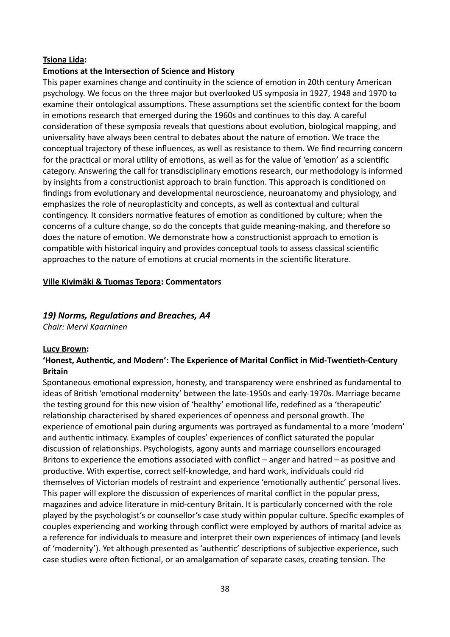### **Tsiona Lida:**

### **Emotions at the Intersection of Science and History**

This paper examines change and continuity in the science of emotion in 20th century American psychology. We focus on the three major but overlooked US symposia in 1927, 1948 and 1970 to examine their ontological assumptions. These assumptions set the scientific context for the boom in emotions research that emerged during the 1960s and continues to this day. A careful consideration of these symposia reveals that questions about evolution, biological mapping, and universality have always been central to debates about the nature of emotion. We trace the conceptual trajectory of these influences, as well as resistance to them. We find recurring concern for the practical or moral utility of emotions, as well as for the value of 'emotion' as a scientific category. Answering the call for transdisciplinary emotions research, our methodology is informed by insights from a constructionist approach to brain function. This approach is conditioned on findings from evolutionary and developmental neuroscience, neuroanatomy and physiology, and emphasizes the role of neuroplasticity and concepts, as well as contextual and cultural contingency. It considers normative features of emotion as conditioned by culture; when the concerns of a culture change, so do the concepts that guide meaning-making, and therefore so does the nature of emotion. We demonstrate how a constructionist approach to emotion is compatible with historical inquiry and provides conceptual tools to assess classical scientific approaches to the nature of emotions at crucial moments in the scientific literature.

### **Ville Kivimäki & Tuomas Tepora: Commentators**

### *19) Norms, Regulations and Breaches, A4*

*Chair: Mervi Kaarninen*

### **Lucy Brown:**

### **'Honest, Authentic, and Modern': The Experience of Marital Conflict in Mid-Twentieth-Century Britain**

Spontaneous emotional expression, honesty, and transparency were enshrined as fundamental to ideas of British 'emotional modernity' between the late-1950s and early-1970s. Marriage became the testing ground for this new vision of 'healthy' emotional life, redefined as a 'therapeutic' relationship characterised by shared experiences of openness and personal growth. The experience of emotional pain during arguments was portrayed as fundamental to a more 'modern' and authentic intimacy. Examples of couples' experiences of conflict saturated the popular discussion of relationships. Psychologists, agony aunts and marriage counsellors encouraged Britons to experience the emotions associated with conflict – anger and hatred – as positive and productive. With expertise, correct self-knowledge, and hard work, individuals could rid themselves of Victorian models of restraint and experience 'emotionally authentic' personal lives. This paper will explore the discussion of experiences of marital conflict in the popular press, magazines and advice literature in mid-century Britain. It is particularly concerned with the role played by the psychologist's or counsellor's case study within popular culture. Specific examples of couples experiencing and working through conflict were employed by authors of marital advice as a reference for individuals to measure and interpret their own experiences of intimacy (and levels of 'modernity'). Yet although presented as 'authentic' descriptions of subjective experience, such case studies were often fictional, or an amalgamation of separate cases, creating tension. The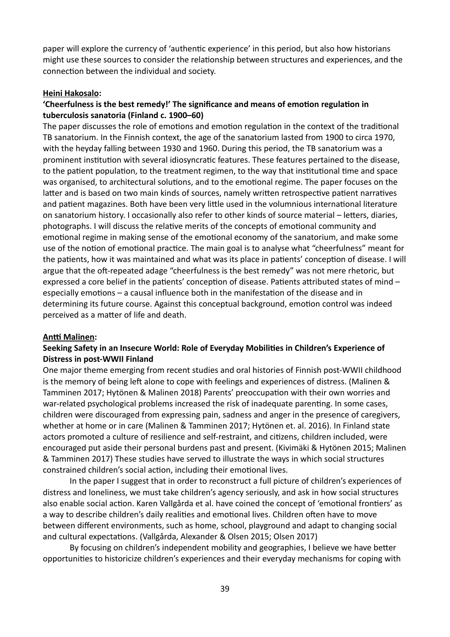paper will explore the currency of 'authentic experience' in this period, but also how historians might use these sources to consider the relationship between structures and experiences, and the connection between the individual and society.

### **Heini Hakosalo:**

# **'Cheerfulness is the best remedy!' The significance and means of emotion regulation in tuberculosis sanatoria (Finland c. 1900–60)**

The paper discusses the role of emotions and emotion regulation in the context of the traditional TB sanatorium. In the Finnish context, the age of the sanatorium lasted from 1900 to circa 1970, with the heyday falling between 1930 and 1960. During this period, the TB sanatorium was a prominent institution with several idiosyncratic features. These features pertained to the disease, to the patient population, to the treatment regimen, to the way that institutional time and space was organised, to architectural solutions, and to the emotional regime. The paper focuses on the latter and is based on two main kinds of sources, namely written retrospective patient narratives and patient magazines. Both have been very little used in the volumnious international literature on sanatorium history. I occasionally also refer to other kinds of source material – letters, diaries, photographs. I will discuss the relative merits of the concepts of emotional community and emotional regime in making sense of the emotional economy of the sanatorium, and make some use of the notion of emotional practice. The main goal is to analyse what "cheerfulness" meant for the patients, how it was maintained and what was its place in patients' conception of disease. I will argue that the oft-repeated adage "cheerfulness is the best remedy" was not mere rhetoric, but expressed a core belief in the patients' conception of disease. Patients attributed states of mind – especially emotions – a causal influence both in the manifestation of the disease and in determining its future course. Against this conceptual background, emotion control was indeed perceived as a matter of life and death.

### **Antti Malinen:**

## **Seeking Safety in an Insecure World: Role of Everyday Mobilities in Children's Experience of Distress in post-WWII Finland**

One major theme emerging from recent studies and oral histories of Finnish post-WWII childhood is the memory of being left alone to cope with feelings and experiences of distress. (Malinen & Tamminen 2017; Hytönen & Malinen 2018) Parents' preoccupation with their own worries and war-related psychological problems increased the risk of inadequate parenting. In some cases, children were discouraged from expressing pain, sadness and anger in the presence of caregivers, whether at home or in care (Malinen & Tamminen 2017; Hytönen et. al. 2016). In Finland state actors promoted a culture of resilience and self-restraint, and citizens, children included, were encouraged put aside their personal burdens past and present. (Kivimäki & Hytönen 2015; Malinen & Tamminen 2017) These studies have served to illustrate the ways in which social structures constrained children's social action, including their emotional lives.

In the paper I suggest that in order to reconstruct a full picture of children's experiences of distress and loneliness, we must take children's agency seriously, and ask in how social structures also enable social action. Karen Vallgårda et al. have coined the concept of 'emotional frontiers' as a way to describe children's daily realities and emotional lives. Children often have to move between different environments, such as home, school, playground and adapt to changing social and cultural expectations. (Vallgårda, Alexander & Olsen 2015; Olsen 2017)

By focusing on children's independent mobility and geographies, I believe we have better opportunities to historicize children's experiences and their everyday mechanisms for coping with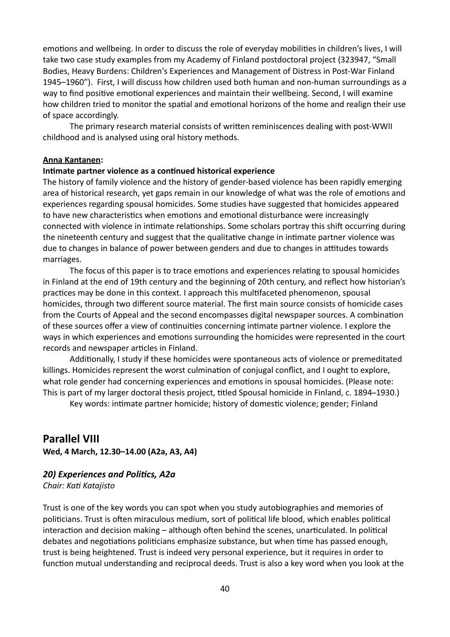emotions and wellbeing. In order to discuss the role of everyday mobilities in children's lives, I will take two case study examples from my Academy of Finland postdoctoral project (323947, "Small Bodies, Heavy Burdens: Children's Experiences and Management of Distress in Post-War Finland 1945–1960"). First, I will discuss how children used both human and non-human surroundings as a way to find positive emotional experiences and maintain their wellbeing. Second, I will examine how children tried to monitor the spatial and emotional horizons of the home and realign their use of space accordingly.

The primary research material consists of written reminiscences dealing with post-WWII childhood and is analysed using oral history methods.

#### **Anna Kantanen:**

### **Intimate partner violence as a continued historical experience**

The history of family violence and the history of gender-based violence has been rapidly emerging area of historical research, yet gaps remain in our knowledge of what was the role of emotions and experiences regarding spousal homicides. Some studies have suggested that homicides appeared to have new characteristics when emotions and emotional disturbance were increasingly connected with violence in intimate relationships. Some scholars portray this shift occurring during the nineteenth century and suggest that the qualitative change in intimate partner violence was due to changes in balance of power between genders and due to changes in attitudes towards marriages.

The focus of this paper is to trace emotions and experiences relating to spousal homicides in Finland at the end of 19th century and the beginning of 20th century, and reflect how historian's practices may be done in this context. I approach this multifaceted phenomenon, spousal homicides, through two different source material. The first main source consists of homicide cases from the Courts of Appeal and the second encompasses digital newspaper sources. A combination of these sources offer a view of continuities concerning intimate partner violence. I explore the ways in which experiences and emotions surrounding the homicides were represented in the court records and newspaper articles in Finland.

Additionally, I study if these homicides were spontaneous acts of violence or premeditated killings. Homicides represent the worst culmination of conjugal conflict, and I ought to explore, what role gender had concerning experiences and emotions in spousal homicides. (Please note: This is part of my larger doctoral thesis project, titled Spousal homicide in Finland, c. 1894–1930.)

Key words: intimate partner homicide; history of domestic violence; gender; Finland

# **Parallel VIII**

**Wed, 4 March, 12.30–14.00 (A2a, A3, A4)**

# *20) Experiences and Politics, A2a*

*Chair: Kati Katajisto*

Trust is one of the key words you can spot when you study autobiographies and memories of politicians. Trust is often miraculous medium, sort of political life blood, which enables political interaction and decision making – although often behind the scenes, unarticulated. In political debates and negotiations politicians emphasize substance, but when time has passed enough, trust is being heightened. Trust is indeed very personal experience, but it requires in order to function mutual understanding and reciprocal deeds. Trust is also a key word when you look at the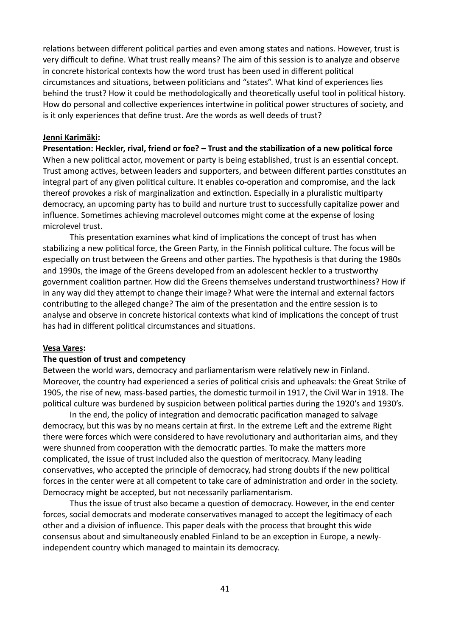relations between different political parties and even among states and nations. However, trust is very difficult to define. What trust really means? The aim of this session is to analyze and observe in concrete historical contexts how the word trust has been used in different political circumstances and situations, between politicians and "states". What kind of experiences lies behind the trust? How it could be methodologically and theoretically useful tool in political history. How do personal and collective experiences intertwine in political power structures of society, and is it only experiences that define trust. Are the words as well deeds of trust?

#### **Jenni Karimäki:**

**Presentation: Heckler, rival, friend or foe? – Trust and the stabilization of a new political force** When a new political actor, movement or party is being established, trust is an essential concept. Trust among actives, between leaders and supporters, and between different parties constitutes an integral part of any given political culture. It enables co-operation and compromise, and the lack thereof provokes a risk of marginalization and extinction. Especially in a pluralistic multiparty democracy, an upcoming party has to build and nurture trust to successfully capitalize power and influence. Sometimes achieving macrolevel outcomes might come at the expense of losing microlevel trust.

This presentation examines what kind of implications the concept of trust has when stabilizing a new political force, the Green Party, in the Finnish political culture. The focus will be especially on trust between the Greens and other parties. The hypothesis is that during the 1980s and 1990s, the image of the Greens developed from an adolescent heckler to a trustworthy government coalition partner. How did the Greens themselves understand trustworthiness? How if in any way did they attempt to change their image? What were the internal and external factors contributing to the alleged change? The aim of the presentation and the entire session is to analyse and observe in concrete historical contexts what kind of implications the concept of trust has had in different political circumstances and situations.

#### **Vesa Vares:**

### **The question of trust and competency**

Between the world wars, democracy and parliamentarism were relatively new in Finland. Moreover, the country had experienced a series of political crisis and upheavals: the Great Strike of 1905, the rise of new, mass-based parties, the domestic turmoil in 1917, the Civil War in 1918. The political culture was burdened by suspicion between political parties during the 1920's and 1930's.

In the end, the policy of integration and democratic pacification managed to salvage democracy, but this was by no means certain at first. In the extreme Left and the extreme Right there were forces which were considered to have revolutionary and authoritarian aims, and they were shunned from cooperation with the democratic parties. To make the matters more complicated, the issue of trust included also the question of meritocracy. Many leading conservatives, who accepted the principle of democracy, had strong doubts if the new political forces in the center were at all competent to take care of administration and order in the society. Democracy might be accepted, but not necessarily parliamentarism.

Thus the issue of trust also became a question of democracy. However, in the end center forces, social democrats and moderate conservatives managed to accept the legitimacy of each other and a division of influence. This paper deals with the process that brought this wide consensus about and simultaneously enabled Finland to be an exception in Europe, a newlyindependent country which managed to maintain its democracy.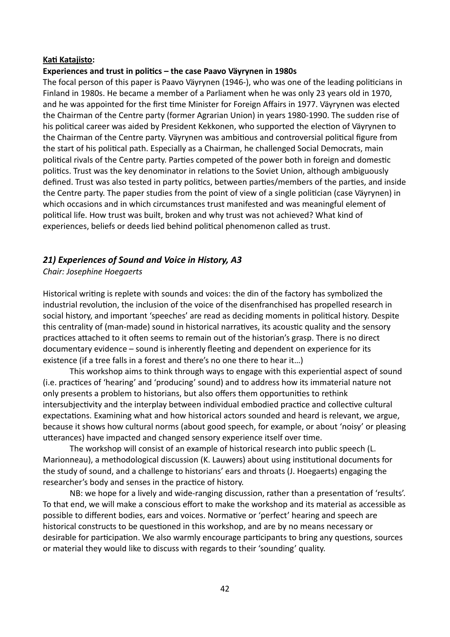### **Kati Katajisto:**

### **Experiences and trust in politics – the case Paavo Väyrynen in 1980s**

The focal person of this paper is Paavo Väyrynen (1946-), who was one of the leading politicians in Finland in 1980s. He became a member of a Parliament when he was only 23 years old in 1970, and he was appointed for the first time Minister for Foreign Affairs in 1977. Väyrynen was elected the Chairman of the Centre party (former Agrarian Union) in years 1980-1990. The sudden rise of his political career was aided by President Kekkonen, who supported the election of Väyrynen to the Chairman of the Centre party. Väyrynen was ambitious and controversial political figure from the start of his political path. Especially as a Chairman, he challenged Social Democrats, main political rivals of the Centre party. Parties competed of the power both in foreign and domestic politics. Trust was the key denominator in relations to the Soviet Union, although ambiguously defined. Trust was also tested in party politics, between parties/members of the parties, and inside the Centre party. The paper studies from the point of view of a single politician (case Väyrynen) in which occasions and in which circumstances trust manifested and was meaningful element of political life. How trust was built, broken and why trust was not achieved? What kind of experiences, beliefs or deeds lied behind political phenomenon called as trust.

## *21) Experiences of Sound and Voice in History, A3*

### *Chair: Josephine Hoegaerts*

Historical writing is replete with sounds and voices: the din of the factory has symbolized the industrial revolution, the inclusion of the voice of the disenfranchised has propelled research in social history, and important 'speeches' are read as deciding moments in political history. Despite this centrality of (man-made) sound in historical narratives, its acoustic quality and the sensory practices attached to it often seems to remain out of the historian's grasp. There is no direct documentary evidence – sound is inherently fleeting and dependent on experience for its existence (if a tree falls in a forest and there's no one there to hear it…)

This workshop aims to think through ways to engage with this experiential aspect of sound (i.e. practices of 'hearing' and 'producing' sound) and to address how its immaterial nature not only presents a problem to historians, but also offers them opportunities to rethink intersubjectivity and the interplay between individual embodied practice and collective cultural expectations. Examining what and how historical actors sounded and heard is relevant, we argue, because it shows how cultural norms (about good speech, for example, or about 'noisy' or pleasing utterances) have impacted and changed sensory experience itself over time.

The workshop will consist of an example of historical research into public speech (L. Marionneau), a methodological discussion (K. Lauwers) about using institutional documents for the study of sound, and a challenge to historians' ears and throats (J. Hoegaerts) engaging the researcher's body and senses in the practice of history.

NB: we hope for a lively and wide-ranging discussion, rather than a presentation of 'results'. To that end, we will make a conscious effort to make the workshop and its material as accessible as possible to different bodies, ears and voices. Normative or 'perfect' hearing and speech are historical constructs to be questioned in this workshop, and are by no means necessary or desirable for participation. We also warmly encourage participants to bring any questions, sources or material they would like to discuss with regards to their 'sounding' quality.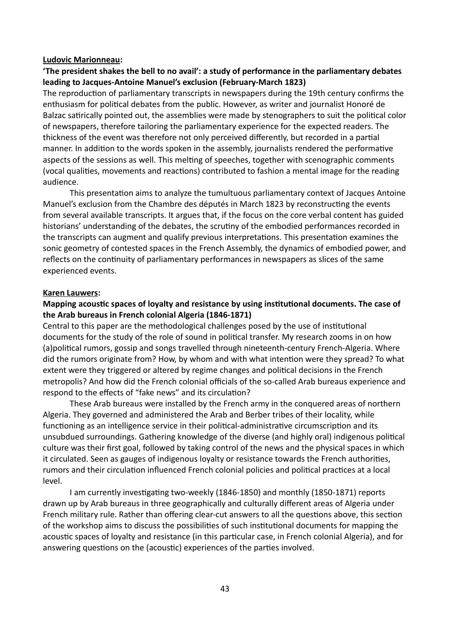#### **Ludovic Marionneau:**

# **'The president shakes the bell to no avail': a study of performance in the parliamentary debates leading to Jacques-Antoine Manuel's exclusion (February-March 1823)**

The reproduction of parliamentary transcripts in newspapers during the 19th century confirms the enthusiasm for political debates from the public. However, as writer and journalist Honoré de Balzac satirically pointed out, the assemblies were made by stenographers to suit the political color of newspapers, therefore tailoring the parliamentary experience for the expected readers. The thickness of the event was therefore not only perceived differently, but recorded in a partial manner. In addition to the words spoken in the assembly, journalists rendered the performative aspects of the sessions as well. This melting of speeches, together with scenographic comments (vocal qualities, movements and reactions) contributed to fashion a mental image for the reading audience.

This presentation aims to analyze the tumultuous parliamentary context of Jacques Antoine Manuel's exclusion from the Chambre des députés in March 1823 by reconstructing the events from several available transcripts. It argues that, if the focus on the core verbal content has guided historians' understanding of the debates, the scrutiny of the embodied performances recorded in the transcripts can augment and qualify previous interpretations. This presentation examines the sonic geometry of contested spaces in the French Assembly, the dynamics of embodied power, and reflects on the continuity of parliamentary performances in newspapers as slices of the same experienced events.

#### **Karen Lauwers:**

### **Mapping acoustic spaces of loyalty and resistance by using institutional documents. The case of the Arab bureaus in French colonial Algeria (1846-1871)**

Central to this paper are the methodological challenges posed by the use of institutional documents for the study of the role of sound in political transfer. My research zooms in on how (a)political rumors, gossip and songs travelled through nineteenth-century French-Algeria. Where did the rumors originate from? How, by whom and with what intention were they spread? To what extent were they triggered or altered by regime changes and political decisions in the French metropolis? And how did the French colonial officials of the so-called Arab bureaus experience and respond to the effects of "fake news" and its circulation?

These Arab bureaus were installed by the French army in the conquered areas of northern Algeria. They governed and administered the Arab and Berber tribes of their locality, while functioning as an intelligence service in their political-administrative circumscription and its unsubdued surroundings. Gathering knowledge of the diverse (and highly oral) indigenous political culture was their first goal, followed by taking control of the news and the physical spaces in which it circulated. Seen as gauges of indigenous loyalty or resistance towards the French authorities, rumors and their circulation influenced French colonial policies and political practices at a local level.

I am currently investigating two-weekly (1846-1850) and monthly (1850-1871) reports drawn up by Arab bureaus in three geographically and culturally different areas of Algeria under French military rule. Rather than offering clear-cut answers to all the questions above, this section of the workshop aims to discuss the possibilities of such institutional documents for mapping the acoustic spaces of loyalty and resistance (in this particular case, in French colonial Algeria), and for answering questions on the (acoustic) experiences of the parties involved.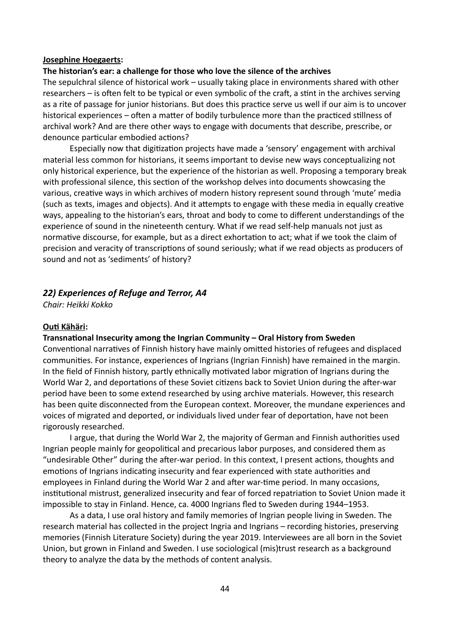#### **Josephine Hoegaerts:**

#### **The historian's ear: a challenge for those who love the silence of the archives**

The sepulchral silence of historical work – usually taking place in environments shared with other researchers – is often felt to be typical or even symbolic of the craft, a stint in the archives serving as a rite of passage for junior historians. But does this practice serve us well if our aim is to uncover historical experiences – often a matter of bodily turbulence more than the practiced stillness of archival work? And are there other ways to engage with documents that describe, prescribe, or denounce particular embodied actions?

Especially now that digitization projects have made a 'sensory' engagement with archival material less common for historians, it seems important to devise new ways conceptualizing not only historical experience, but the experience of the historian as well. Proposing a temporary break with professional silence, this section of the workshop delves into documents showcasing the various, creative ways in which archives of modern history represent sound through 'mute' media (such as texts, images and objects). And it attempts to engage with these media in equally creative ways, appealing to the historian's ears, throat and body to come to different understandings of the experience of sound in the nineteenth century. What if we read self-help manuals not just as normative discourse, for example, but as a direct exhortation to act; what if we took the claim of precision and veracity of transcriptions of sound seriously; what if we read objects as producers of sound and not as 'sediments' of history?

### *22) Experiences of Refuge and Terror, A4*

*Chair: Heikki Kokko*

#### **Outi Kähäri:**

#### **Transnational Insecurity among the Ingrian Community – Oral History from Sweden**

Conventional narratives of Finnish history have mainly omitted histories of refugees and displaced communities. For instance, experiences of Ingrians (Ingrian Finnish) have remained in the margin. In the field of Finnish history, partly ethnically motivated labor migration of Ingrians during the World War 2, and deportations of these Soviet citizens back to Soviet Union during the after-war period have been to some extend researched by using archive materials. However, this research has been quite disconnected from the European context. Moreover, the mundane experiences and voices of migrated and deported, or individuals lived under fear of deportation, have not been rigorously researched.

I argue, that during the World War 2, the majority of German and Finnish authorities used Ingrian people mainly for geopolitical and precarious labor purposes, and considered them as "undesirable Other" during the after-war period. In this context, I present actions, thoughts and emotions of Ingrians indicating insecurity and fear experienced with state authorities and employees in Finland during the World War 2 and after war-time period. In many occasions, institutional mistrust, generalized insecurity and fear of forced repatriation to Soviet Union made it impossible to stay in Finland. Hence, ca. 4000 Ingrians fled to Sweden during 1944–1953.

As a data, I use oral history and family memories of Ingrian people living in Sweden. The research material has collected in the project Ingria and Ingrians – recording histories, preserving memories (Finnish Literature Society) during the year 2019. Interviewees are all born in the Soviet Union, but grown in Finland and Sweden. I use sociological (mis)trust research as a background theory to analyze the data by the methods of content analysis.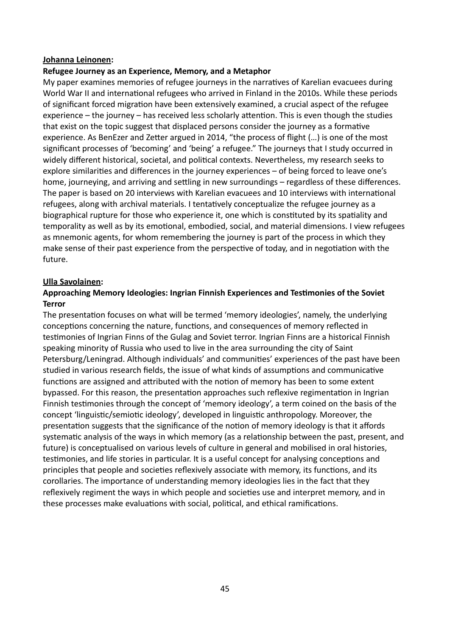### **Johanna Leinonen:**

### **Refugee Journey as an Experience, Memory, and a Metaphor**

My paper examines memories of refugee journeys in the narratives of Karelian evacuees during World War II and international refugees who arrived in Finland in the 2010s. While these periods of significant forced migration have been extensively examined, a crucial aspect of the refugee experience – the journey – has received less scholarly attention. This is even though the studies that exist on the topic suggest that displaced persons consider the journey as a formative experience. As BenEzer and Zetter argued in 2014, "the process of flight (…) is one of the most significant processes of 'becoming' and 'being' a refugee." The journeys that I study occurred in widely different historical, societal, and political contexts. Nevertheless, my research seeks to explore similarities and differences in the journey experiences – of being forced to leave one's home, journeying, and arriving and settling in new surroundings – regardless of these differences. The paper is based on 20 interviews with Karelian evacuees and 10 interviews with international refugees, along with archival materials. I tentatively conceptualize the refugee journey as a biographical rupture for those who experience it, one which is constituted by its spatiality and temporality as well as by its emotional, embodied, social, and material dimensions. I view refugees as mnemonic agents, for whom remembering the journey is part of the process in which they make sense of their past experience from the perspective of today, and in negotiation with the future.

### **Ulla Savolainen:**

## **Approaching Memory Ideologies: Ingrian Finnish Experiences and Testimonies of the Soviet Terror**

The presentation focuses on what will be termed 'memory ideologies', namely, the underlying conceptions concerning the nature, functions, and consequences of memory reflected in testimonies of Ingrian Finns of the Gulag and Soviet terror. Ingrian Finns are a historical Finnish speaking minority of Russia who used to live in the area surrounding the city of Saint Petersburg/Leningrad. Although individuals' and communities' experiences of the past have been studied in various research fields, the issue of what kinds of assumptions and communicative functions are assigned and attributed with the notion of memory has been to some extent bypassed. For this reason, the presentation approaches such reflexive regimentation in Ingrian Finnish testimonies through the concept of 'memory ideology', a term coined on the basis of the concept 'linguistic/semiotic ideology', developed in linguistic anthropology. Moreover, the presentation suggests that the significance of the notion of memory ideology is that it affords systematic analysis of the ways in which memory (as a relationship between the past, present, and future) is conceptualised on various levels of culture in general and mobilised in oral histories, testimonies, and life stories in particular. It is a useful concept for analysing conceptions and principles that people and societies reflexively associate with memory, its functions, and its corollaries. The importance of understanding memory ideologies lies in the fact that they reflexively regiment the ways in which people and societies use and interpret memory, and in these processes make evaluations with social, political, and ethical ramifications.